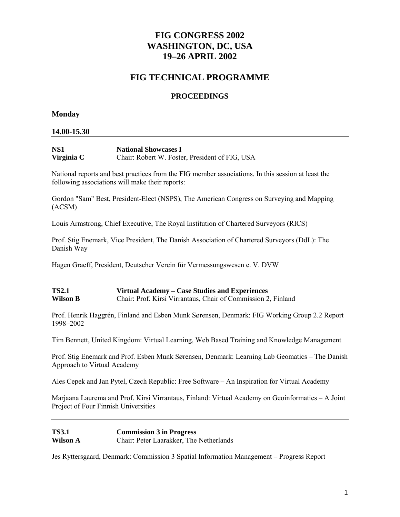# **FIG CONGRESS 2002 WASHINGTON, DC, USA 19–26 APRIL 2002**

# **FIG TECHNICAL PROGRAMME**

# **PROCEEDINGS**

## **Monday**

## **14.00-15.30**

| NS <sub>1</sub> | <b>National Showcases I</b>                    |
|-----------------|------------------------------------------------|
| Virginia C      | Chair: Robert W. Foster, President of FIG, USA |

National reports and best practices from the FIG member associations. In this session at least the following associations will make their reports:

Gordon "Sam" Best, President-Elect (NSPS), The American Congress on Surveying and Mapping (ACSM)

Louis Armstrong, Chief Executive, The Royal Institution of Chartered Surveyors (RICS)

Prof. Stig Enemark, Vice President, The Danish Association of Chartered Surveyors (DdL): The Danish Way

Hagen Graeff, President, Deutscher Verein für Vermessungswesen e. V. DVW

#### **TS2.1 Virtual Academy – Case Studies and Experiences Wilson B** Chair: Prof. Kirsi Virrantaus, Chair of Commission 2, Finland

Prof. Henrik Haggrén, Finland and Esben Munk Sørensen, Denmark: FIG Working Group 2.2 Report 1998–2002

Tim Bennett, United Kingdom: Virtual Learning, Web Based Training and Knowledge Management

Prof. Stig Enemark and Prof. Esben Munk Sørensen, Denmark: Learning Lab Geomatics – The Danish Approach to Virtual Academy

Ales Cepek and Jan Pytel, Czech Republic: Free Software – An Inspiration for Virtual Academy

Marjaana Laurema and Prof. Kirsi Virrantaus, Finland: Virtual Academy on Geoinformatics – A Joint Project of Four Finnish Universities

**TS3.1 Commission 3 in Progress**<br> **Wilson A Chair: Peter Laarakker. The** Chair: Peter Laarakker, The Netherlands

Jes Ryttersgaard, Denmark: Commission 3 Spatial Information Management – Progress Report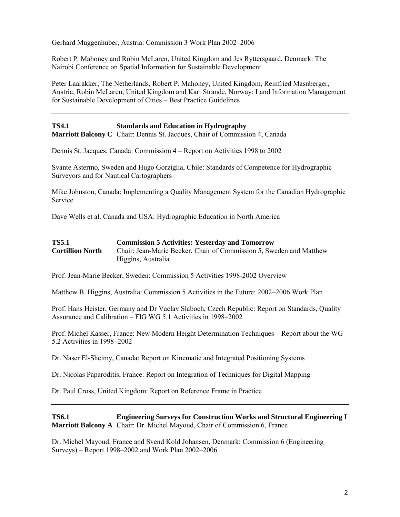Gerhard Muggenhuber, Austria: Commission 3 Work Plan 2002–2006

Robert P. Mahoney and Robin McLaren, United Kingdom and Jes Ryttersgaard, Denmark: The Nairobi Conference on Spatial Information for Sustainable Development

Peter Laarakker, The Netherlands, Robert P. Mahoney, United Kingdom, Reinfried Masnberger, Austria, Robin McLaren, United Kingdom and Kari Strande, Norway: Land Information Management for Sustainable Development of Cities – Best Practice Guidelines

# **TS4.1 Standards and Education in Hydrography**

**Marriott Balcony C** Chair: Dennis St. Jacques, Chair of Commission 4, Canada

Dennis St. Jacques, Canada: Commission 4 – Report on Activities 1998 to 2002

Svante Astermo, Sweden and Hugo Gorziglia, Chile: Standards of Competence for Hydrographic Surveyors and for Nautical Cartographers

Mike Johnston, Canada: Implementing a Quality Management System for the Canadian Hydrographic Service

Dave Wells et al. Canada and USA: Hydrographic Education in North America

| <b>TS5.1</b>            | <b>Commission 5 Activities: Yesterday and Tomorrow</b>              |
|-------------------------|---------------------------------------------------------------------|
| <b>Cortillion North</b> | Chair: Jean-Marie Becker, Chair of Commission 5, Sweden and Matthew |
|                         | Higgins, Australia                                                  |

Prof. Jean-Marie Becker, Sweden: Commission 5 Activities 1998-2002 Overview

Matthew B. Higgins, Australia: Commission 5 Activities in the Future: 2002–2006 Work Plan

Prof. Hans Heister, Germany and Dr Vaclav Slaboch, Czech Republic: Report on Standards, Quality Assurance and Calibration – FIG WG 5.1 Activities in 1998–2002

Prof. Michel Kasser, France: New Modern Height Determination Techniques – Report about the WG 5.2 Activities in 1998–2002

Dr. Naser El-Sheimy, Canada: Report on Kinematic and Integrated Positioning Systems

Dr. Nicolas Paparoditis, France: Report on Integration of Techniques for Digital Mapping

Dr. Paul Cross, United Kingdom: Report on Reference Frame in Practice

#### **TS6.1 Engineering Surveys for Construction Works and Structural Engineering I Marriott Balcony A** Chair: Dr. Michel Mayoud, Chair of Commission 6, France

Dr. Michel Mayoud, France and Svend Kold Johansen, Denmark: Commission 6 (Engineering Surveys) – Report 1998–2002 and Work Plan 2002–2006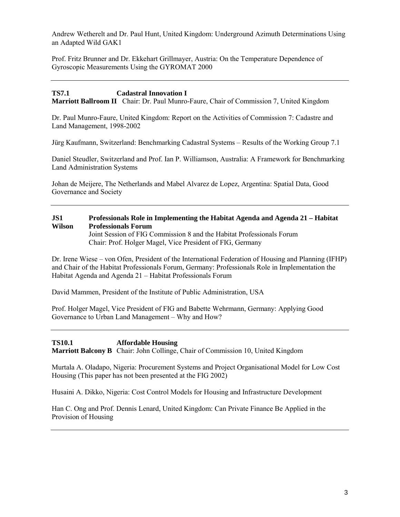Andrew Wetherelt and Dr. Paul Hunt, United Kingdom: Underground Azimuth Determinations Using an Adapted Wild GAK1

Prof. Fritz Brunner and Dr. Ekkehart Grillmayer, Austria: On the Temperature Dependence of Gyroscopic Measurements Using the GYROMAT 2000

# **TS7.1 Cadastral Innovation I**

**Marriott Ballroom II** Chair: Dr. Paul Munro-Faure, Chair of Commission 7, United Kingdom

Dr. Paul Munro-Faure, United Kingdom: Report on the Activities of Commission 7: Cadastre and Land Management, 1998-2002

Jürg Kaufmann, Switzerland: Benchmarking Cadastral Systems – Results of the Working Group 7.1

Daniel Steudler, Switzerland and Prof. Ian P. Williamson, Australia: A Framework for Benchmarking Land Administration Systems

Johan de Meijere, The Netherlands and Mabel Alvarez de Lopez, Argentina: Spatial Data, Good Governance and Society

## **JS1 Professionals Role in Implementing the Habitat Agenda and Agenda 21 – Habitat Wilson Professionals Forum**

Joint Session of FIG Commission 8 and the Habitat Professionals Forum Chair: Prof. Holger Magel, Vice President of FIG, Germany

Dr. Irene Wiese – von Ofen, President of the International Federation of Housing and Planning (IFHP) and Chair of the Habitat Professionals Forum, Germany: Professionals Role in Implementation the Habitat Agenda and Agenda 21 – Habitat Professionals Forum

David Mammen, President of the Institute of Public Administration, USA

Prof. Holger Magel, Vice President of FIG and Babette Wehrmann, Germany: Applying Good Governance to Urban Land Management – Why and How?

**TS10.1 Affordable Housing Marriott Balcony B** Chair: John Collinge, Chair of Commission 10, United Kingdom

Murtala A. Oladapo, Nigeria: Procurement Systems and Project Organisational Model for Low Cost Housing (This paper has not been presented at the FIG 2002)

Husaini A. Dikko, Nigeria: Cost Control Models for Housing and Infrastructure Development

Han C. Ong and Prof. Dennis Lenard, United Kingdom: Can Private Finance Be Applied in the Provision of Housing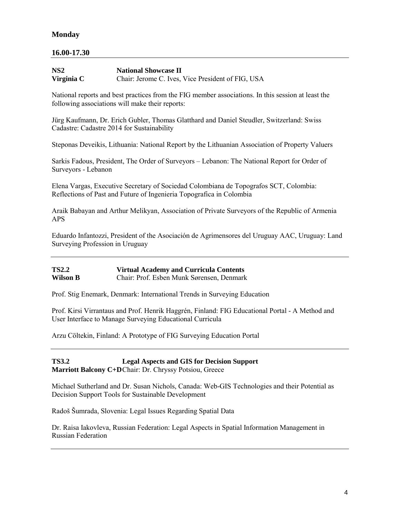# **Monday**

## **16.00-17.30**

| NS <sub>2</sub> | <b>National Showcase II</b>                       |
|-----------------|---------------------------------------------------|
| Virginia C      | Chair: Jerome C. Ives, Vice President of FIG, USA |

National reports and best practices from the FIG member associations. In this session at least the following associations will make their reports:

Jürg Kaufmann, Dr. Erich Gubler, Thomas Glatthard and Daniel Steudler, Switzerland: Swiss Cadastre: Cadastre 2014 for Sustainability

Steponas Deveikis, Lithuania: National Report by the Lithuanian Association of Property Valuers

Sarkis Fadous, President, The Order of Surveyors – Lebanon: The National Report for Order of Surveyors - Lebanon

Elena Vargas, Executive Secretary of Sociedad Colombiana de Topografos SCT, Colombia: Reflections of Past and Future of Ingenieria Topografica in Colombia

Araik Babayan and Arthur Melikyan, Association of Private Surveyors of the Republic of Armenia APS

Eduardo Infantozzi, President of the Asociación de Agrimensores del Uruguay AAC, Uruguay: Land Surveying Profession in Uruguay

| <b>TS2.2</b> | <b>Virtual Academy and Curricula Contents</b> |
|--------------|-----------------------------------------------|
| Wilson B     | Chair: Prof. Esben Munk Sørensen, Denmark     |

Prof. Stig Enemark, Denmark: International Trends in Surveying Education

Prof. Kirsi Virrantaus and Prof. Henrik Haggrén, Finland: FIG Educational Portal - A Method and User Interface to Manage Surveying Educational Curricula

Arzu Cöltekin, Finland: A Prototype of FIG Surveying Education Portal

**TS3.2 Legal Aspects and GIS for Decision Support Marriott Balcony C+D**Chair: Dr. Chryssy Potsiou, Greece

Michael Sutherland and Dr. Susan Nichols, Canada: Web-GIS Technologies and their Potential as Decision Support Tools for Sustainable Development

Radoš Šumrada, Slovenia: Legal Issues Regarding Spatial Data

Dr. Raisa Iakovleva, Russian Federation: Legal Aspects in Spatial Information Management in Russian Federation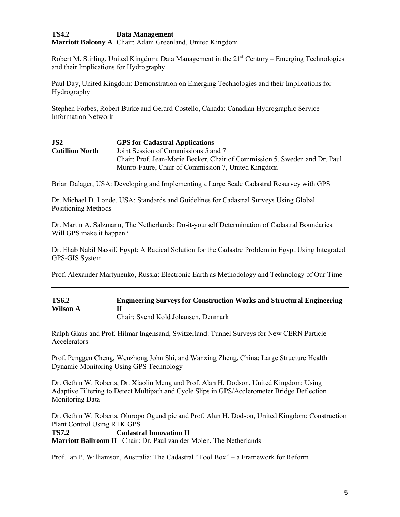## **TS4.2 Data Management**

**Marriott Balcony A** Chair: Adam Greenland, United Kingdom

Robert M. Stirling, United Kingdom: Data Management in the 21<sup>st</sup> Century – Emerging Technologies and their Implications for Hydrography

Paul Day, United Kingdom: Demonstration on Emerging Technologies and their Implications for Hydrography

Stephen Forbes, Robert Burke and Gerard Costello, Canada: Canadian Hydrographic Service Information Network

| JS2                    | <b>GPS</b> for Cadastral Applications                                      |
|------------------------|----------------------------------------------------------------------------|
| <b>Cotillion North</b> | Joint Session of Commissions 5 and 7                                       |
|                        | Chair: Prof. Jean-Marie Becker, Chair of Commission 5, Sweden and Dr. Paul |
|                        | Munro-Faure, Chair of Commission 7, United Kingdom                         |

Brian Dalager, USA: Developing and Implementing a Large Scale Cadastral Resurvey with GPS

Dr. Michael D. Londe, USA: Standards and Guidelines for Cadastral Surveys Using Global Positioning Methods

Dr. Martin A. Salzmann, The Netherlands: Do-it-yourself Determination of Cadastral Boundaries: Will GPS make it happen?

Dr. Ehab Nabil Nassif, Egypt: A Radical Solution for the Cadastre Problem in Egypt Using Integrated GPS-GIS System

Prof. Alexander Martynenko, Russia: Electronic Earth as Methodology and Technology of Our Time

| <b>TS6.2</b> | <b>Engineering Surveys for Construction Works and Structural Engineering</b> |
|--------------|------------------------------------------------------------------------------|
| Wilson A     |                                                                              |
|              | Chair: Svend Kold Johansen, Denmark                                          |

Ralph Glaus and Prof. Hilmar Ingensand, Switzerland: Tunnel Surveys for New CERN Particle Accelerators

Prof. Penggen Cheng, Wenzhong John Shi, and Wanxing Zheng, China: Large Structure Health Dynamic Monitoring Using GPS Technology

Dr. Gethin W. Roberts, Dr. Xiaolin Meng and Prof. Alan H. Dodson, United Kingdom: Using Adaptive Filtering to Detect Multipath and Cycle Slips in GPS/Acclerometer Bridge Deflection Monitoring Data

Dr. Gethin W. Roberts, Oluropo Ogundipie and Prof. Alan H. Dodson, United Kingdom: Construction Plant Control Using RTK GPS

**TS7.2 Cadastral Innovation II**

**Marriott Ballroom II** Chair: Dr. Paul van der Molen, The Netherlands

Prof. Ian P. Williamson, Australia: The Cadastral "Tool Box" – a Framework for Reform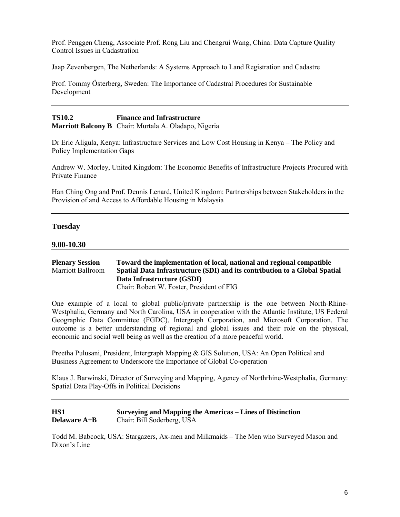Prof. Penggen Cheng, Associate Prof. Rong Liu and Chengrui Wang, China: Data Capture Quality Control Issues in Cadastration

Jaap Zevenbergen, The Netherlands: A Systems Approach to Land Registration and Cadastre

Prof. Tommy Österberg, Sweden: The Importance of Cadastral Procedures for Sustainable Development

#### **TS10.2 Finance and Infrastructure Marriott Balcony B** Chair: Murtala A. Oladapo, Nigeria

Dr Eric Aligula, Kenya: Infrastructure Services and Low Cost Housing in Kenya – The Policy and Policy Implementation Gaps

Andrew W. Morley, United Kingdom: The Economic Benefits of Infrastructure Projects Procured with Private Finance

Han Ching Ong and Prof. Dennis Lenard, United Kingdom: Partnerships between Stakeholders in the Provision of and Access to Affordable Housing in Malaysia

#### **Tuesday**

#### **9.00-10.30**

#### **Plenary Session** Toward the implementation of local, national and regional compatible Marriott Ballroom Spatial Data Infrastructure (SDI) and its contribution to a Global Spatial Spatial Data Infrastructure (SDI) and its contribution to a Global Spatial **Data Infrastructure (GSDI)** Chair: Robert W. Foster, President of FIG

One example of a local to global public/private partnership is the one between North-Rhine-Westphalia, Germany and North Carolina, USA in cooperation with the Atlantic Institute, US Federal Geographic Data Committee (FGDC), Intergraph Corporation, and Microsoft Corporation. The outcome is a better understanding of regional and global issues and their role on the physical, economic and social well being as well as the creation of a more peaceful world.

Preetha Pulusani, President, Intergraph Mapping & GIS Solution, USA: An Open Political and Business Agreement to Underscore the Importance of Global Co-operation

Klaus J. Barwinski, Director of Surveying and Mapping, Agency of Northrhine-Westphalia, Germany: Spatial Data Play-Offs in Political Decisions

## **HS1 Surveying and Mapping the Americas – Lines of Distinction Delaware A+B** Chair: Bill Soderberg, USA

Todd M. Babcock, USA: Stargazers, Ax-men and Milkmaids – The Men who Surveyed Mason and Dixon's Line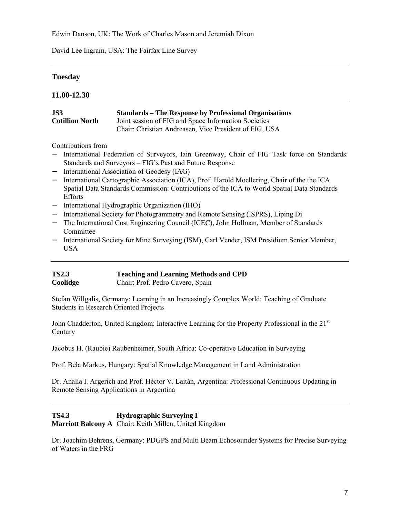Edwin Danson, UK: The Work of Charles Mason and Jeremiah Dixon

David Lee Ingram, USA: The Fairfax Line Survey

# **Tuesday**

## **11.00-12.30**

| JS3                    | <b>Standards – The Response by Professional Organisations</b> |
|------------------------|---------------------------------------------------------------|
| <b>Cotillion North</b> | Joint session of FIG and Space Information Societies          |
|                        | Chair: Christian Andreasen, Vice President of FIG, USA        |

Contributions from

- − International Federation of Surveyors, Iain Greenway, Chair of FIG Task force on Standards: Standards and Surveyors – FIG's Past and Future Response
- − International Association of Geodesy (IAG)
- − International Cartographic Association (ICA), Prof. Harold Moellering, Chair of the the ICA Spatial Data Standards Commission: Contributions of the ICA to World Spatial Data Standards Efforts
- − International Hydrographic Organization (IHO)
- − International Society for Photogrammetry and Remote Sensing (ISPRS), Liping Di
- − The International Cost Engineering Council (ICEC), John Hollman, Member of Standards Committee
- − International Society for Mine Surveying (ISM), Carl Vender, ISM Presidium Senior Member, USA

| <b>TS2.3</b> | <b>Teaching and Learning Methods and CPD</b> |
|--------------|----------------------------------------------|
| Coolidge     | Chair: Prof. Pedro Cavero, Spain             |

Stefan Willgalis, Germany: Learning in an Increasingly Complex World: Teaching of Graduate Students in Research Oriented Projects

John Chadderton, United Kingdom: Interactive Learning for the Property Professional in the 21<sup>st</sup> **Century** 

Jacobus H. (Raubie) Raubenheimer, South Africa: Co-operative Education in Surveying

Prof. Bela Markus, Hungary: Spatial Knowledge Management in Land Administration

Dr. Analía I. Argerich and Prof. Héctor V. Laitán, Argentina: Professional Continuous Updating in Remote Sensing Applications in Argentina

**TS4.3 Hydrographic Surveying I Marriott Balcony A** Chair: Keith Millen, United Kingdom

Dr. Joachim Behrens, Germany: PDGPS and Multi Beam Echosounder Systems for Precise Surveying of Waters in the FRG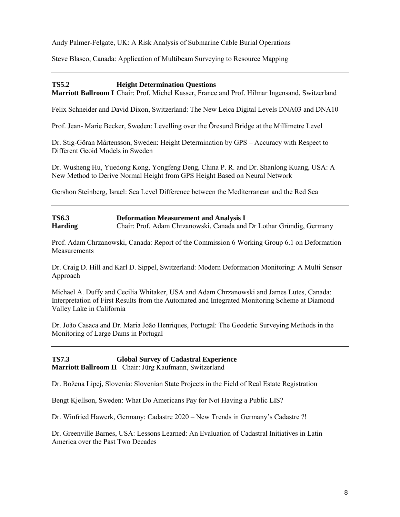Andy Palmer-Felgate, UK: A Risk Analysis of Submarine Cable Burial Operations

Steve Blasco, Canada: Application of Multibeam Surveying to Resource Mapping

## **TS5.2 Height Determination Questions**

**Marriott Ballroom I** Chair: Prof. Michel Kasser, France and Prof. Hilmar Ingensand, Switzerland

Felix Schneider and David Dixon, Switzerland: The New Leica Digital Levels DNA03 and DNA10

Prof. Jean- Marie Becker, Sweden: Levelling over the Öresund Bridge at the Millimetre Level

Dr. Stig-Göran Mårtensson, Sweden: Height Determination by GPS – Accuracy with Respect to Different Geoid Models in Sweden

Dr. Wusheng Hu, Yuedong Kong, Yongfeng Deng, China P. R. and Dr. Shanlong Kuang, USA: A New Method to Derive Normal Height from GPS Height Based on Neural Network

Gershon Steinberg, Israel: Sea Level Difference between the Mediterranean and the Red Sea

**TS6.3 Deformation Measurement and Analysis I Harding** Chair: Prof. Adam Chrzanowski, Canada and Dr Lothar Gründig, Germany

Prof. Adam Chrzanowski, Canada: Report of the Commission 6 Working Group 6.1 on Deformation **Measurements** 

Dr. Craig D. Hill and Karl D. Sippel, Switzerland: Modern Deformation Monitoring: A Multi Sensor Approach

Michael A. Duffy and Cecilia Whitaker, USA and Adam Chrzanowski and James Lutes, Canada: Interpretation of First Results from the Automated and Integrated Monitoring Scheme at Diamond Valley Lake in California

Dr. João Casaca and Dr. Maria João Henriques, Portugal: The Geodetic Surveying Methods in the Monitoring of Large Dams in Portugal

**TS7.3 Global Survey of Cadastral Experience Marriott Ballroom II** Chair: Jürg Kaufmann, Switzerland

Dr. Božena Lipej, Slovenia: Slovenian State Projects in the Field of Real Estate Registration

Bengt Kjellson, Sweden: What Do Americans Pay for Not Having a Public LIS?

Dr. Winfried Hawerk, Germany: Cadastre 2020 – New Trends in Germany's Cadastre ?!

Dr. Greenville Barnes, USA: Lessons Learned: An Evaluation of Cadastral Initiatives in Latin America over the Past Two Decades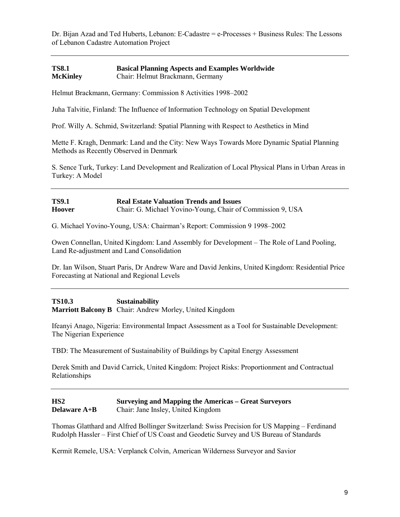Dr. Bijan Azad and Ted Huberts, Lebanon: E-Cadastre = e-Processes + Business Rules: The Lessons of Lebanon Cadastre Automation Project

#### **TS8.1 Basical Planning Aspects and Examples Worldwide McKinley** Chair: Helmut Brackmann, Germany

Helmut Brackmann, Germany: Commission 8 Activities 1998–2002

Juha Talvitie, Finland: The Influence of Information Technology on Spatial Development

Prof. Willy A. Schmid, Switzerland: Spatial Planning with Respect to Aesthetics in Mind

Mette F. Kragh, Denmark: Land and the City: New Ways Towards More Dynamic Spatial Planning Methods as Recently Observed in Denmark

S. Sence Turk, Turkey: Land Development and Realization of Local Physical Plans in Urban Areas in Turkey: A Model

## **TS9.1 Real Estate Valuation Trends and Issues Hoover** Chair: G. Michael Yovino-Young, Chair of Commission 9, USA

G. Michael Yovino-Young, USA: Chairman's Report: Commission 9 1998–2002

Owen Connellan, United Kingdom: Land Assembly for Development – The Role of Land Pooling, Land Re-adjustment and Land Consolidation

Dr. Ian Wilson, Stuart Paris, Dr Andrew Ware and David Jenkins, United Kingdom: Residential Price Forecasting at National and Regional Levels

**TS10.3 Sustainability Marriott Balcony B** Chair: Andrew Morley, United Kingdom

Ifeanyi Anago, Nigeria: Environmental Impact Assessment as a Tool for Sustainable Development: The Nigerian Experience

TBD: The Measurement of Sustainability of Buildings by Capital Energy Assessment

Derek Smith and David Carrick, United Kingdom: Project Risks: Proportionment and Contractual Relationships

| HS2          | <b>Surveying and Mapping the Americas – Great Surveyors</b> |
|--------------|-------------------------------------------------------------|
| Delaware A+B | Chair: Jane Insley, United Kingdom                          |

Thomas Glatthard and Alfred Bollinger Switzerland: Swiss Precision for US Mapping – Ferdinand Rudolph Hassler – First Chief of US Coast and Geodetic Survey and US Bureau of Standards

Kermit Remele, USA: Verplanck Colvin, American Wilderness Surveyor and Savior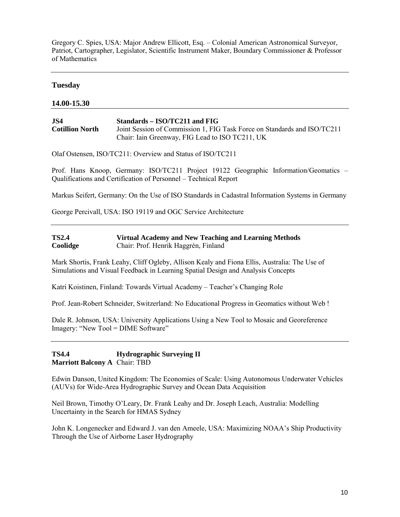Gregory C. Spies, USA: Major Andrew Ellicott, Esq. – Colonial American Astronomical Surveyor, Patriot, Cartographer, Legislator, Scientific Instrument Maker, Boundary Commissioner & Professor of Mathematics

#### **Tuesday**

#### **14.00-15.30**

| JS4                    | $Standards - ISO/TC211$ and FIG                                          |
|------------------------|--------------------------------------------------------------------------|
| <b>Cotillion North</b> | Joint Session of Commission 1, FIG Task Force on Standards and ISO/TC211 |
|                        | Chair: Iain Greenway, FIG Lead to ISO TC211, UK                          |

Olaf Ostensen, ISO/TC211: Overview and Status of ISO/TC211

Prof. Hans Knoop, Germany: ISO/TC211 Project 19122 Geographic Information/Geomatics – Qualifications and Certification of Personnel – Technical Report

Markus Seifert, Germany: On the Use of ISO Standards in Cadastral Information Systems in Germany

George Percivall, USA: ISO 19119 and OGC Service Architecture

| <b>TS2.4</b> | Virtual Academy and New Teaching and Learning Methods |
|--------------|-------------------------------------------------------|
| Coolidge     | Chair: Prof. Henrik Haggrén, Finland                  |

Mark Shortis, Frank Leahy, Cliff Ogleby, Allison Kealy and Fiona Ellis, Australia: The Use of Simulations and Visual Feedback in Learning Spatial Design and Analysis Concepts

Katri Koistinen, Finland: Towards Virtual Academy – Teacher's Changing Role

Prof. Jean-Robert Schneider, Switzerland: No Educational Progress in Geomatics without Web !

Dale R. Johnson, USA: University Applications Using a New Tool to Mosaic and Georeference Imagery: "New Tool = DIME Software"

**TS4.4 Hydrographic Surveying II Marriott Balcony A** Chair: TBD

Edwin Danson, United Kingdom: The Economies of Scale: Using Autonomous Underwater Vehicles (AUVs) for Wide-Area Hydrographic Survey and Ocean Data Acquisition

Neil Brown, Timothy O'Leary, Dr. Frank Leahy and Dr. Joseph Leach, Australia: Modelling Uncertainty in the Search for HMAS Sydney

John K. Longenecker and Edward J. van den Ameele, USA: Maximizing NOAA's Ship Productivity Through the Use of Airborne Laser Hydrography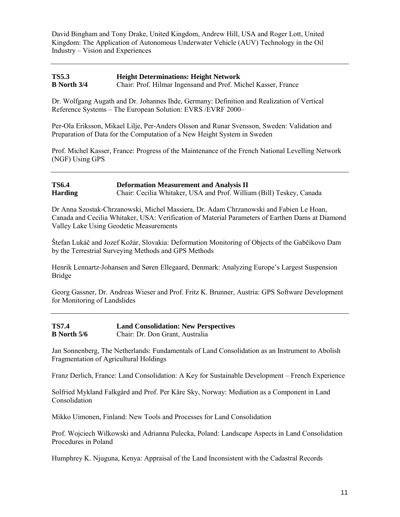David Bingham and Tony Drake, United Kingdom, Andrew Hill, USA and Roger Lott, United Kingdom: The Application of Autonomous Underwater Vehicle (AUV) Technology in the Oil Industry – Vision and Experiences

## **TS5.3 Height Determinations: Height Network B North 3/4** Chair: Prof. Hilmar Ingensand and Prof. Michel Kasser, France

Dr. Wolfgang Augath and Dr. Johannes Ihde, Germany: Definition and Realization of Vertical Reference Systems – The European Solution: EVRS /EVRF 2000–

Per-Ola Eriksson, Mikael Lilje, Per-Anders Olsson and Runar Svensson, Sweden: Validation and Preparation of Data for the Computation of a New Height System in Sweden

Prof. Michel Kasser, France: Progress of the Maintenance of the French National Levelling Network (NGF) Using GPS

## **TS6.4 Deformation Measurement and Analysis II Harding** Chair: Cecilia Whitaker, USA and Prof. William (Bill) Teskey, Canada

Dr Anna Szostak-Chrzanowski, Michel Massiera, Dr. Adam Chrzanowski and Fabien Le Hoan, Canada and Cecilia Whitaker, USA: Verification of Material Parameters of Earthen Dams at Diamond Valley Lake Using Geodetic Measurements

Štefan Lukáč and Jozef Kožár, Slovakia: Deformation Monitoring of Objects of the Gabčíkovo Dam by the Terrestrial Surveying Methods and GPS Methods

Henrik Lennartz-Johansen and Søren Ellegaard, Denmark: Analyzing Europe's Largest Suspension Bridge

Georg Gassner, Dr. Andreas Wieser and Prof. Fritz K. Brunner, Austria: GPS Software Development for Monitoring of Landslides

| <b>TS7.4</b>       | <b>Land Consolidation: New Perspectives</b> |
|--------------------|---------------------------------------------|
| <b>B</b> North 5/6 | Chair: Dr. Don Grant, Australia             |

Jan Sonnenberg, The Netherlands: Fundamentals of Land Consolidation as an Instrument to Abolish Fragmentation of Agricultural Holdings

Franz Derlich, France: Land Consolidation: A Key for Sustainable Development – French Experience

Solfried Mykland Falkgård and Prof. Per Kåre Sky, Norway: Mediation as a Component in Land Consolidation

Mikko Uimonen, Finland: New Tools and Processes for Land Consolidation

Prof. Wojciech Wilkowski and Adrianna Pulecka, Poland: Landscape Aspects in Land Consolidation Procedures in Poland

Humphrey K. Njuguna, Kenya: Appraisal of the Land Inconsistent with the Cadastral Records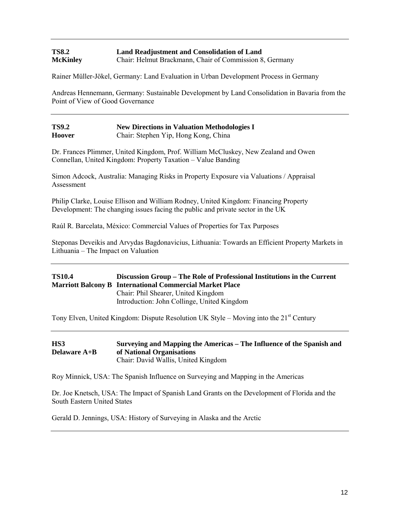## **TS8.2 Land Readjustment and Consolidation of Land McKinley** Chair: Helmut Brackmann, Chair of Commission 8, Germany

Rainer Müller-Jökel, Germany: Land Evaluation in Urban Development Process in Germany

Andreas Hennemann, Germany: Sustainable Development by Land Consolidation in Bavaria from the Point of View of Good Governance

| <b>TS9.2</b>  | <b>New Directions in Valuation Methodologies I</b> |
|---------------|----------------------------------------------------|
| <b>Hoover</b> | Chair: Stephen Yip, Hong Kong, China               |

Dr. Frances Plimmer, United Kingdom, Prof. William McCluskey, New Zealand and Owen Connellan, United Kingdom: Property Taxation – Value Banding

Simon Adcock, Australia: Managing Risks in Property Exposure via Valuations / Appraisal Assessment

Philip Clarke, Louise Ellison and William Rodney, United Kingdom: Financing Property Development: The changing issues facing the public and private sector in the UK

Raúl R. Barcelata, México: Commercial Values of Properties for Tax Purposes

Steponas Deveikis and Arvydas Bagdonavicius, Lithuania: Towards an Efficient Property Markets in Lithuania – The Impact on Valuation

## **TS10.4 Discussion Group – The Role of Professional Institutions in the Current Marriott Balcony B International Commercial Market Place** Chair: Phil Shearer, United Kingdom Introduction: John Collinge, United Kingdom

Tony Elven, United Kingdom: Dispute Resolution UK Style – Moving into the  $21<sup>st</sup>$  Century

| HS3                 | Surveying and Mapping the Americas – The Influence of the Spanish and |
|---------------------|-----------------------------------------------------------------------|
| <b>Delaware A+B</b> | of National Organisations                                             |
|                     | Chair: David Wallis, United Kingdom                                   |

Roy Minnick, USA: The Spanish Influence on Surveying and Mapping in the Americas

Dr. Joe Knetsch, USA: The Impact of Spanish Land Grants on the Development of Florida and the South Eastern United States

Gerald D. Jennings, USA: History of Surveying in Alaska and the Arctic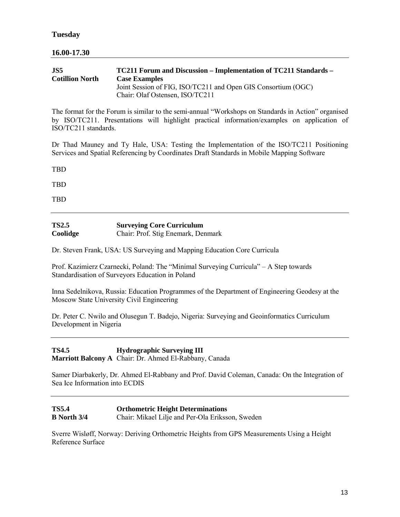## **16.00-17.30**

| .IS5                   | TC211 Forum and Discussion – Implementation of TC211 Standards – |
|------------------------|------------------------------------------------------------------|
| <b>Cotillion North</b> | <b>Case Examples</b>                                             |
|                        | Joint Session of FIG, ISO/TC211 and Open GIS Consortium (OGC)    |
|                        | Chair: Olaf Ostensen, ISO/TC211                                  |

The format for the Forum is similar to the semi-annual "Workshops on Standards in Action" organised by ISO/TC211. Presentations will highlight practical information/examples on application of ISO/TC211 standards.

Dr Thad Mauney and Ty Hale, USA: Testing the Implementation of the ISO/TC211 Positioning Services and Spatial Referencing by Coordinates Draft Standards in Mobile Mapping Software

TBD

TBD

TBD

| <b>TS2.5</b> | <b>Surveying Core Curriculum</b>   |
|--------------|------------------------------------|
| Coolidge     | Chair: Prof. Stig Enemark, Denmark |

Dr. Steven Frank, USA: US Surveying and Mapping Education Core Curricula

Prof. Kazimierz Czarnecki, Poland: The "Minimal Surveying Curricula" – A Step towards Standardisation of Surveyors Education in Poland

Inna Sedelnikova, Russia: Education Programmes of the Department of Engineering Geodesy at the Moscow State University Civil Engineering

Dr. Peter C. Nwilo and Olusegun T. Badejo, Nigeria: Surveying and Geoinformatics Curriculum Development in Nigeria

**TS4.5 Hydrographic Surveying III Marriott Balcony A** Chair: Dr. Ahmed El-Rabbany, Canada

Samer Diarbakerly, Dr. Ahmed El-Rabbany and Prof. David Coleman, Canada: On the Integration of Sea Ice Information into ECDIS

| <b>TS5.4</b>    | <b>Orthometric Height Determinations</b>         |
|-----------------|--------------------------------------------------|
| $B$ North $3/4$ | Chair: Mikael Lilje and Per-Ola Eriksson, Sweden |

Sverre Wisløff, Norway: Deriving Orthometric Heights from GPS Measurements Using a Height Reference Surface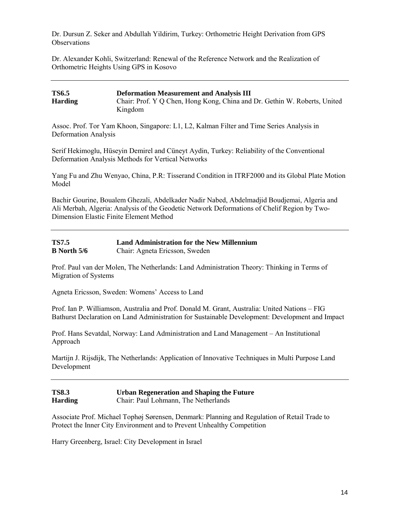Dr. Dursun Z. Seker and Abdullah Yildirim, Turkey: Orthometric Height Derivation from GPS **Observations** 

Dr. Alexander Kohli, Switzerland: Renewal of the Reference Network and the Realization of Orthometric Heights Using GPS in Kosovo

| <b>TS6.5</b>   | <b>Deformation Measurement and Analysis III</b>                           |
|----------------|---------------------------------------------------------------------------|
| <b>Harding</b> | Chair: Prof. Y Q Chen, Hong Kong, China and Dr. Gethin W. Roberts, United |
|                | Kingdom                                                                   |

Assoc. Prof. Tor Yam Khoon, Singapore: L1, L2, Kalman Filter and Time Series Analysis in Deformation Analysis

Serif Hekimoglu, Hüseyin Demirel and Cüneyt Aydin, Turkey: Reliability of the Conventional Deformation Analysis Methods for Vertical Networks

Yang Fu and Zhu Wenyao, China, P.R: Tisserand Condition in ITRF2000 and its Global Plate Motion Model

Bachir Gourine, Boualem Ghezali, Abdelkader Nadir Nabed, Abdelmadjid Boudjemai, Algeria and Ali Merbah, Algeria: Analysis of the Geodetic Network Deformations of Chelif Region by Two-Dimension Elastic Finite Element Method

| <b>TS7.5</b>         | <b>Land Administration for the New Millennium</b> |
|----------------------|---------------------------------------------------|
| <b>B</b> North $5/6$ | Chair: Agneta Ericsson, Sweden                    |

Prof. Paul van der Molen, The Netherlands: Land Administration Theory: Thinking in Terms of Migration of Systems

Agneta Ericsson, Sweden: Womens' Access to Land

Prof. Ian P. Williamson, Australia and Prof. Donald M. Grant, Australia: United Nations – FIG Bathurst Declaration on Land Administration for Sustainable Development: Development and Impact

Prof. Hans Sevatdal, Norway: Land Administration and Land Management – An Institutional Approach

Martijn J. Rijsdijk, The Netherlands: Application of Innovative Techniques in Multi Purpose Land Development

| <b>TS8.3</b>   | <b>Urban Regeneration and Shaping the Future</b> |
|----------------|--------------------------------------------------|
| <b>Harding</b> | Chair: Paul Lohmann, The Netherlands             |

Associate Prof. Michael Tophøj Sørensen, Denmark: Planning and Regulation of Retail Trade to Protect the Inner City Environment and to Prevent Unhealthy Competition

Harry Greenberg, Israel: City Development in Israel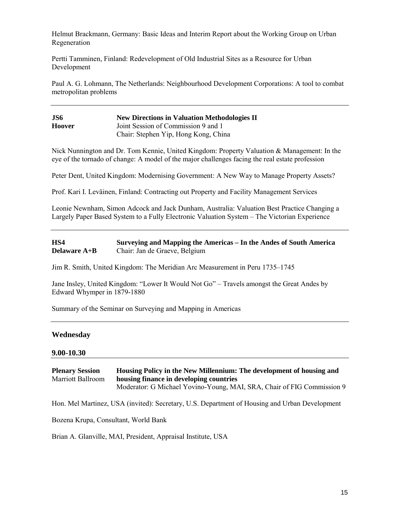Helmut Brackmann, Germany: Basic Ideas and Interim Report about the Working Group on Urban Regeneration

Pertti Tamminen, Finland: Redevelopment of Old Industrial Sites as a Resource for Urban Development

Paul A. G. Lohmann, The Netherlands: Neighbourhood Development Corporations: A tool to combat metropolitan problems

| JS6           | <b>New Directions in Valuation Methodologies II</b> |
|---------------|-----------------------------------------------------|
| <b>Hoover</b> | Joint Session of Commission 9 and 1                 |
|               | Chair: Stephen Yip, Hong Kong, China                |

Nick Nunnington and Dr. Tom Kennie, United Kingdom: Property Valuation & Management: In the eye of the tornado of change: A model of the major challenges facing the real estate profession

Peter Dent, United Kingdom: Modernising Government: A New Way to Manage Property Assets?

Prof. Kari I. Leväinen, Finland: Contracting out Property and Facility Management Services

Leonie Newnham, Simon Adcock and Jack Dunham, Australia: Valuation Best Practice Changing a Largely Paper Based System to a Fully Electronic Valuation System – The Victorian Experience

#### **HS4 Surveying and Mapping the Americas – In the Andes of South America Delaware A+B** Chair: Jan de Graeve, Belgium

Jim R. Smith, United Kingdom: The Meridian Arc Measurement in Peru 1735–1745

Jane Insley, United Kingdom: "Lower It Would Not Go" – Travels amongst the Great Andes by Edward Whymper in 1879-1880

Summary of the Seminar on Surveying and Mapping in Americas

#### **Wednesday**

#### **9.00-10.30**

**Plenary Session Housing Policy in the New Millennium: The development of housing and** Marriott Ballroom **housing finance in developing countries** Moderator: G Michael Yovino-Young, MAI, SRA, Chair of FIG Commission 9

Hon. Mel Martinez, USA (invited): Secretary, U.S. Department of Housing and Urban Development

Bozena Krupa, Consultant, World Bank

Brian A. Glanville, MAI, President, Appraisal Institute, USA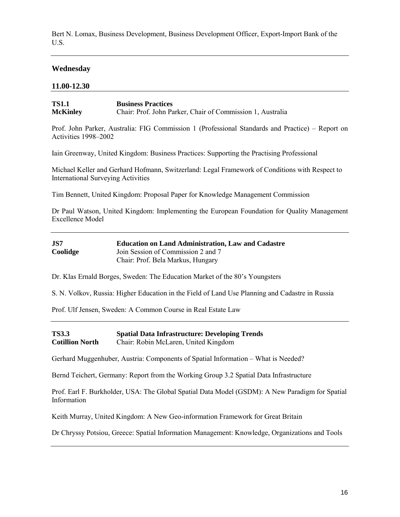Bert N. Lomax, Business Development, Business Development Officer, Export-Import Bank of the U.S.

## **Wednesday**

#### **11.00-12.30**

| <b>TS1.1</b>    | <b>Business Practices</b>                                  |
|-----------------|------------------------------------------------------------|
| <b>McKinley</b> | Chair: Prof. John Parker, Chair of Commission 1, Australia |

Prof. John Parker, Australia: FIG Commission 1 (Professional Standards and Practice) – Report on Activities 1998–2002

Iain Greenway, United Kingdom: Business Practices: Supporting the Practising Professional

Michael Keller and Gerhard Hofmann, Switzerland: Legal Framework of Conditions with Respect to International Surveying Activities

Tim Bennett, United Kingdom: Proposal Paper for Knowledge Management Commission

Dr Paul Watson, United Kingdom: Implementing the European Foundation for Quality Management Excellence Model

| JS7      | <b>Education on Land Administration, Law and Cadastre</b> |
|----------|-----------------------------------------------------------|
| Coolidge | Join Session of Commission 2 and 7                        |
|          | Chair: Prof. Bela Markus, Hungary                         |

Dr. Klas Ernald Borges, Sweden: The Education Market of the 80's Youngsters

S. N. Volkov, Russia: Higher Education in the Field of Land Use Planning and Cadastre in Russia

Prof. Ulf Jensen, Sweden: A Common Course in Real Estate Law

**TS3.3 Spatial Data Infrastructure: Developing Trends Cotillion North** Chair: Robin McLaren, United Kingdom

Gerhard Muggenhuber, Austria: Components of Spatial Information – What is Needed?

Bernd Teichert, Germany: Report from the Working Group 3.2 Spatial Data Infrastructure

Prof. Earl F. Burkholder, USA: The Global Spatial Data Model (GSDM): A New Paradigm for Spatial Information

Keith Murray, United Kingdom: A New Geo-information Framework for Great Britain

Dr Chryssy Potsiou, Greece: Spatial Information Management: Knowledge, Organizations and Tools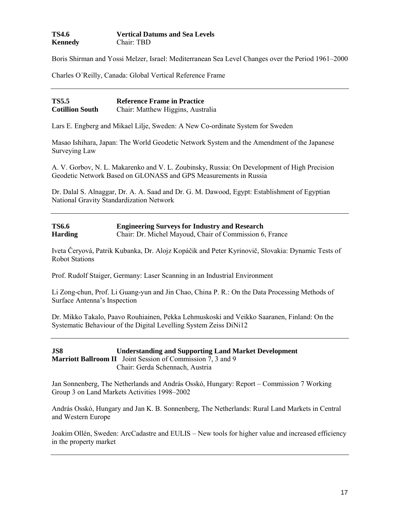| TS4.6   | <b>Vertical Datums and Sea Levels</b> |
|---------|---------------------------------------|
| Kennedy | Chair: TBD                            |

Boris Shirman and Yossi Melzer, Israel: Mediterranean Sea Level Changes over the Period 1961–2000

Charles O´Reilly, Canada: Global Vertical Reference Frame

| <b>TS5.5</b>           | <b>Reference Frame in Practice</b> |
|------------------------|------------------------------------|
| <b>Cotillion South</b> | Chair: Matthew Higgins, Australia  |

Lars E. Engberg and Mikael Lilje, Sweden: A New Co-ordinate System for Sweden

Masao Ishihara, Japan: The World Geodetic Network System and the Amendment of the Japanese Surveying Law

A. V. Gorbov, N. L. Makarenko and V. L. Zoubinsky, Russia: On Development of High Precision Geodetic Network Based on GLONASS and GPS Measurements in Russia

Dr. Dalal S. Alnaggar, Dr. A. A. Saad and Dr. G. M. Dawood, Egypt: Establishment of Egyptian National Gravity Standardization Network

| <b>TS6.6</b>   | <b>Engineering Surveys for Industry and Research</b>    |
|----------------|---------------------------------------------------------|
| <b>Harding</b> | Chair: Dr. Michel Mayoud, Chair of Commission 6, France |

Iveta Čeryová, Patrik Kubanka, Dr. Alojz Kopáčik and Peter Kyrinovič, Slovakia: Dynamic Tests of Robot Stations

Prof. Rudolf Staiger, Germany: Laser Scanning in an Industrial Environment

Li Zong-chun, Prof. Li Guang-yun and Jin Chao, China P. R.: On the Data Processing Methods of Surface Antenna's Inspection

Dr. Mikko Takalo, Paavo Rouhiainen, Pekka Lehmuskoski and Veikko Saaranen, Finland: On the Systematic Behaviour of the Digital Levelling System Zeiss DiNi12

**JS8 Understanding and Supporting Land Market Development Marriott Ballroom II** Joint Session of Commission 7, 3 and 9 Chair: Gerda Schennach, Austria

Jan Sonnenberg, The Netherlands and András Osskó, Hungary: Report – Commission 7 Working Group 3 on Land Markets Activities 1998–2002

András Osskó, Hungary and Jan K. B. Sonnenberg, The Netherlands: Rural Land Markets in Central and Western Europe

Joakim Ollén, Sweden: ArcCadastre and EULIS – New tools for higher value and increased efficiency in the property market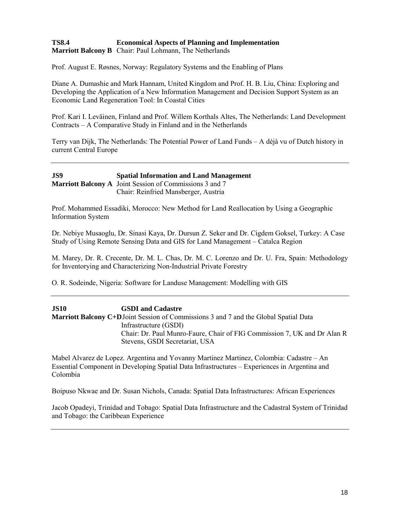### **TS8.4 Economical Aspects of Planning and Implementation Marriott Balcony B** Chair: Paul Lohmann, The Netherlands

Prof. August E. Røsnes, Norway: Regulatory Systems and the Enabling of Plans

Diane A. Dumashie and Mark Hannam, United Kingdom and Prof. H. B. Liu, China: Exploring and Developing the Application of a New Information Management and Decision Support System as an Economic Land Regeneration Tool: In Coastal Cities

Prof. Kari I. Leväinen, Finland and Prof. Willem Korthals Altes, The Netherlands: Land Development Contracts – A Comparative Study in Finland and in the Netherlands

Terry van Dijk, The Netherlands: The Potential Power of Land Funds – A déjà vu of Dutch history in current Central Europe

## **JS9 Spatial Information and Land Management Marriott Balcony A** Joint Session of Commissions 3 and 7 Chair: Reinfried Mansberger, Austria

Prof. Mohammed Essadiki, Morocco: New Method for Land Reallocation by Using a Geographic Information System

Dr. Nebiye Musaoglu, Dr. Sinasi Kaya, Dr. Dursun Z. Seker and Dr. Cigdem Goksel, Turkey: A Case Study of Using Remote Sensing Data and GIS for Land Management – Catalca Region

M. Marey, Dr. R. Crecente, Dr. M. L. Chas, Dr. M. C. Lorenzo and Dr. U. Fra, Spain: Methodology for Inventorying and Characterizing Non-Industrial Private Forestry

O. R. Sodeinde, Nigeria: Software for Landuse Management: Modelling with GIS

**JS10 GSDI and Cadastre Marriott Balcony C+D**Joint Session of Commissions 3 and 7 and the Global Spatial Data Infrastructure (GSDI) Chair: Dr. Paul Munro-Faure, Chair of FIG Commission 7, UK and Dr Alan R Stevens, GSDI Secretariat, USA

Mabel Alvarez de Lopez. Argentina and Yovanny Martinez Martinez, Colombia: Cadastre – An Essential Component in Developing Spatial Data Infrastructures – Experiences in Argentina and Colombia

Boipuso Nkwae and Dr. Susan Nichols, Canada: Spatial Data Infrastructures: African Experiences

Jacob Opadeyi, Trinidad and Tobago: Spatial Data Infrastructure and the Cadastral System of Trinidad and Tobago: the Caribbean Experience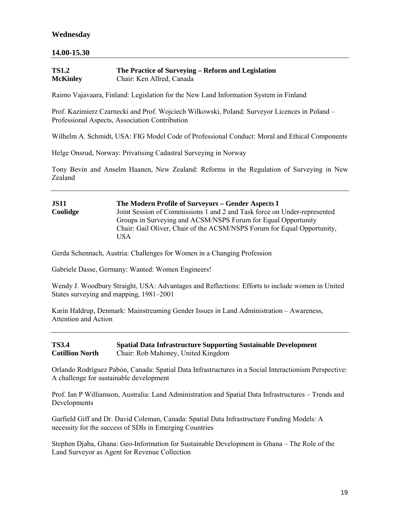## **14.00-15.30**

| <b>TS1.2</b>    | The Practice of Surveying – Reform and Legislation |
|-----------------|----------------------------------------------------|
| <b>McKinley</b> | Chair: Ken Allred, Canada                          |

Raimo Vajavaara, Finland: Legislation for the New Land Information System in Finland

Prof. Kazimierz Czarnecki and Prof. Wojciech Wilkowski, Poland: Surveyor Licences in Poland – Professional Aspects, Association Contribution

Wilhelm A. Schmidt, USA: FIG Model Code of Professional Conduct: Moral and Ethical Components

Helge Onsrud, Norway: Privatising Cadastral Surveying in Norway

Tony Bevin and Anselm Haanen, New Zealand: Reforms in the Regulation of Surveying in New Zealand

## **JS11 The Modern Profile of Surveyors – Gender Aspects I Coolidge** Joint Session of Commissions 1 and 2 and Task force on Under-represented Groups in Surveying and ACSM/NSPS Forum for Equal Opportunity Chair: Gail Oliver, Chair of the ACSM/NSPS Forum for Equal Opportunity, USA

Gerda Schennach, Austria: Challenges for Women in a Changing Profession

Gabriele Dasse, Germany: Wanted: Women Engineers!

Wendy J. Woodbury Straight, USA: Advantages and Reflections: Efforts to include women in United States surveying and mapping, 1981–2001

Karin Haldrup, Denmark: Mainstreaming Gender Issues in Land Administration – Awareness, Attention and Action

**TS3.4 Spatial Data Infrastructure Supporting Sustainable Development Cotillion North** Chair: Rob Mahoney, United Kingdom

Orlando Rodríguez Pabón, Canada: Spatial Data Infrastructures in a Social Interactionism Perspective: A challenge for sustainable development

Prof. Ian P Williamson, Australia: Land Administration and Spatial Data Infrastructures – Trends and Developments

Garfield Giff and Dr. David Coleman, Canada: Spatial Data Infrastructure Funding Models: A necessity for the success of SDIs in Emerging Countries

Stephen Djaba, Ghana: Geo-Information for Sustainable Development in Ghana – The Role of the Land Surveyor as Agent for Revenue Collection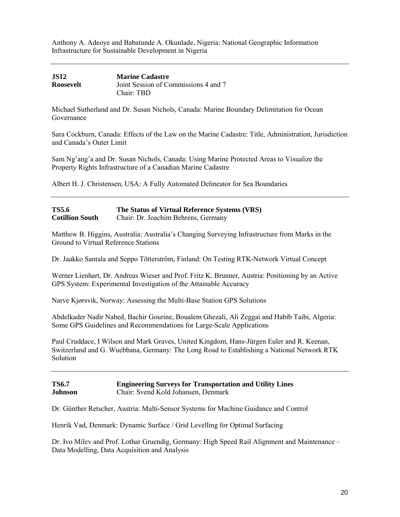Anthony A. Adeoye and Babatunde A. Okunlade, Nigeria: National Geographic Information Infrastructure for Sustainable Development in Nigeria

| <b>JS12</b> | <b>Marine Cadastre</b>               |
|-------------|--------------------------------------|
| Roosevelt   | Joint Session of Commissions 4 and 7 |
|             | Chair: TBD                           |

Michael Sutherland and Dr. Susan Nichols, Canada: Marine Boundary Delimitation for Ocean Governance

Sara Cockburn, Canada: Effects of the Law on the Marine Cadastre: Title, Administration, Jurisdiction and Canada's Outer Limit

Sam Ng'ang'a and Dr. Susan Nichols, Canada: Using Marine Protected Areas to Visualize the Property Rights Infrastructure of a Canadian Marine Cadastre

Albert H. J. Christensen, USA: A Fully Automated Delineator for Sea Boundaries

| <b>TS5.6</b>           | The Status of Virtual Reference Systems (VRS) |
|------------------------|-----------------------------------------------|
| <b>Cotillion South</b> | Chair: Dr. Joachim Behrens, Germany           |

Matthew B. Higgins, Australia: Australia's Changing Surveying Infrastructure from Marks in the Ground to Virtual Reference Stations

Dr. Jaakko Santala and Seppo Tötterström, Finland: On Testing RTK-Network Virtual Concept

Werner Lienhart, Dr. Andreas Wieser and Prof. Fritz K. Brunner, Austria: Positioning by an Active GPS System: Experimental Investigation of the Attainable Accuracy

Narve Kjørsvik, Norway: Assessing the Multi-Base Station GPS Solutions

Abdelkader Nadir Nabed, Bachir Gourine, Boualem Ghezali, Ali Zeggai and Habib Taibi, Algeria: Some GPS Guidelines and Recommendations for Large-Scale Applications

Paul Cruddace, I Wilson and Mark Graves, United Kingdom, Hans-Jürgen Euler and R. Keenan, Switzerland and G. Wuebbana, Germany: The Long Road to Establishing a National Network RTK Solution

#### **TS6.7 Engineering Surveys for Transportation and Utility Lines Johnson** Chair: Svend Kold Johansen, Denmark

Dr. Günther Retscher, Austria: Multi-Sensor Systems for Machine Guidance and Control

Henrik Vad, Denmark: Dynamic Surface / Grid Levelling for Optimal Surfacing

Dr. Ivo Milev and Prof. Lothar Gruendig, Germany: High Speed Rail Alignment and Maintenance – Data Modelling, Data Acquisition and Analysis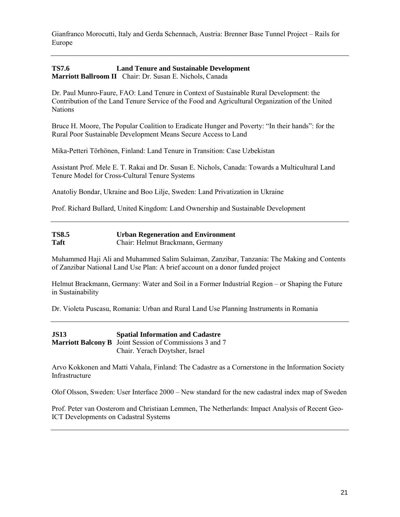Gianfranco Morocutti, Italy and Gerda Schennach, Austria: Brenner Base Tunnel Project – Rails for Europe

#### **TS7.6 Land Tenure and Sustainable Development Marriott Ballroom II** Chair: Dr. Susan E. Nichols, Canada

Dr. Paul Munro-Faure, FAO: Land Tenure in Context of Sustainable Rural Development: the Contribution of the Land Tenure Service of the Food and Agricultural Organization of the United **Nations** 

Bruce H. Moore, The Popular Coalition to Eradicate Hunger and Poverty: "In their hands": for the Rural Poor Sustainable Development Means Secure Access to Land

Mika-Petteri Törhönen, Finland: Land Tenure in Transition: Case Uzbekistan

Assistant Prof. Mele E. T. Rakai and Dr. Susan E. Nichols, Canada: Towards a Multicultural Land Tenure Model for Cross-Cultural Tenure Systems

Anatoliy Bondar, Ukraine and Boo Lilje, Sweden: Land Privatization in Ukraine

Prof. Richard Bullard, United Kingdom: Land Ownership and Sustainable Development

| <b>TS8.5</b> | <b>Urban Regeneration and Environment</b> |
|--------------|-------------------------------------------|
| <b>Taft</b>  | Chair: Helmut Brackmann, Germany          |

Muhammed Haji Ali and Muhammed Salim Sulaiman, Zanzibar, Tanzania: The Making and Contents of Zanzibar National Land Use Plan: A brief account on a donor funded project

Helmut Brackmann, Germany: Water and Soil in a Former Industrial Region – or Shaping the Future in Sustainability

Dr. Violeta Puscasu, Romania: Urban and Rural Land Use Planning Instruments in Romania

**JS13 Spatial Information and Cadastre Marriott Balcony B** Joint Session of Commissions 3 and 7 Chair. Yerach Doytsher, Israel

Arvo Kokkonen and Matti Vahala, Finland: The Cadastre as a Cornerstone in the Information Society Infrastructure

Olof Olsson, Sweden: User Interface 2000 – New standard for the new cadastral index map of Sweden

Prof. Peter van Oosterom and Christiaan Lemmen, The Netherlands: Impact Analysis of Recent Geo-ICT Developments on Cadastral Systems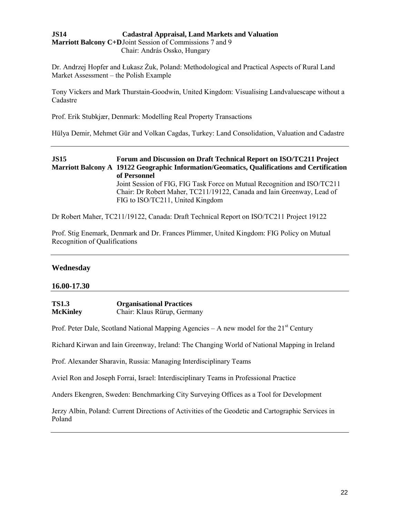## **JS14 Cadastral Appraisal, Land Markets and Valuation Marriott Balcony C+D**Joint Session of Commissions 7 and 9 Chair: András Ossko, Hungary

Dr. Andrzej Hopfer and Łukasz Żuk, Poland: Methodological and Practical Aspects of Rural Land Market Assessment – the Polish Example

Tony Vickers and Mark Thurstain-Goodwin, United Kingdom: Visualising Landvaluescape without a Cadastre

Prof. Erik Stubkjær, Denmark: Modelling Real Property Transactions

Hülya Demir, Mehmet Gür and Volkan Cagdas, Turkey: Land Consolidation, Valuation and Cadastre

## **JS15 Forum and Discussion on Draft Technical Report on ISO/TC211 Project Marriott Balcony A 19122 Geographic Information/Geomatics, Qualifications and Certification of Personnel** Joint Session of FIG, FIG Task Force on Mutual Recognition and ISO/TC211 Chair: Dr Robert Maher, TC211/19122, Canada and Iain Greenway, Lead of FIG to ISO/TC211, United Kingdom

Dr Robert Maher, TC211/19122, Canada: Draft Technical Report on ISO/TC211 Project 19122

Prof. Stig Enemark, Denmark and Dr. Frances Plimmer, United Kingdom: FIG Policy on Mutual Recognition of Qualifications

#### **Wednesday**

#### **16.00-17.30**

| <b>TS1.3</b>    | <b>Organisational Practices</b> |
|-----------------|---------------------------------|
| <b>McKinley</b> | Chair: Klaus Rürup, Germany     |

Prof. Peter Dale, Scotland National Mapping Agencies – A new model for the  $21<sup>st</sup>$  Century

Richard Kirwan and Iain Greenway, Ireland: The Changing World of National Mapping in Ireland

Prof. Alexander Sharavin, Russia: Managing Interdisciplinary Teams

Aviel Ron and Joseph Forrai, Israel: Interdisciplinary Teams in Professional Practice

Anders Ekengren, Sweden: Benchmarking City Surveying Offices as a Tool for Development

Jerzy Albin, Poland: Current Directions of Activities of the Geodetic and Cartographic Services in Poland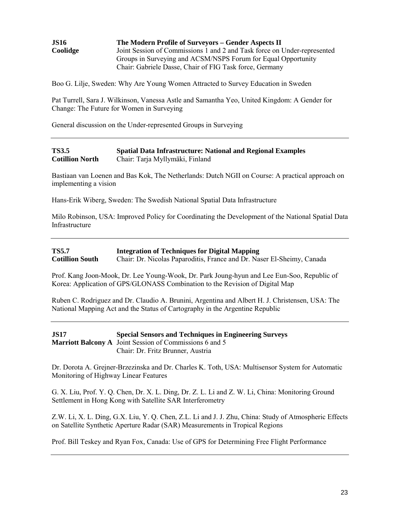| <b>JS16</b>                                                                          | The Modern Profile of Surveyors – Gender Aspects II           |
|--------------------------------------------------------------------------------------|---------------------------------------------------------------|
| Joint Session of Commissions 1 and 2 and Task force on Under-represented<br>Coolidge |                                                               |
|                                                                                      | Groups in Surveying and ACSM/NSPS Forum for Equal Opportunity |
|                                                                                      | Chair: Gabriele Dasse, Chair of FIG Task force, Germany       |

Boo G. Lilje, Sweden: Why Are Young Women Attracted to Survey Education in Sweden

Pat Turrell, Sara J. Wilkinson, Vanessa Astle and Samantha Yeo, United Kingdom: A Gender for Change: The Future for Women in Surveying

General discussion on the Under-represented Groups in Surveying

#### **TS3.5 Spatial Data Infrastructure: National and Regional Examples Cotillion North** Chair: Tarja Myllymäki, Finland

Bastiaan van Loenen and Bas Kok, The Netherlands: Dutch NGII on Course: A practical approach on implementing a vision

Hans-Erik Wiberg, Sweden: The Swedish National Spatial Data Infrastructure

Milo Robinson, USA: Improved Policy for Coordinating the Development of the National Spatial Data Infrastructure

| <b>TS5.7</b>           | <b>Integration of Techniques for Digital Mapping</b>                   |
|------------------------|------------------------------------------------------------------------|
| <b>Cotillion South</b> | Chair: Dr. Nicolas Paparoditis, France and Dr. Naser El-Sheimy, Canada |

Prof. Kang Joon-Mook, Dr. Lee Young-Wook, Dr. Park Joung-hyun and Lee Eun-Soo, Republic of Korea: Application of GPS/GLONASS Combination to the Revision of Digital Map

Ruben C. Rodriguez and Dr. Claudio A. Brunini, Argentina and Albert H. J. Christensen, USA: The National Mapping Act and the Status of Cartography in the Argentine Republic

**JS17 Special Sensors and Techniques in Engineering Surveys Marriott Balcony A** Joint Session of Commissions 6 and 5 Chair: Dr. Fritz Brunner, Austria

Dr. Dorota A. Grejner-Brzezinska and Dr. Charles K. Toth, USA: Multisensor System for Automatic Monitoring of Highway Linear Features

G. X. Liu, Prof. Y. Q. Chen, Dr. X. L. Ding, Dr. Z. L. Li and Z. W. Li, China: Monitoring Ground Settlement in Hong Kong with Satellite SAR Interferometry

Z.W. Li, X. L. Ding, G.X. Liu, Y. Q. Chen, Z.L. Li and J. J. Zhu, China: Study of Atmospheric Effects on Satellite Synthetic Aperture Radar (SAR) Measurements in Tropical Regions

Prof. Bill Teskey and Ryan Fox, Canada: Use of GPS for Determining Free Flight Performance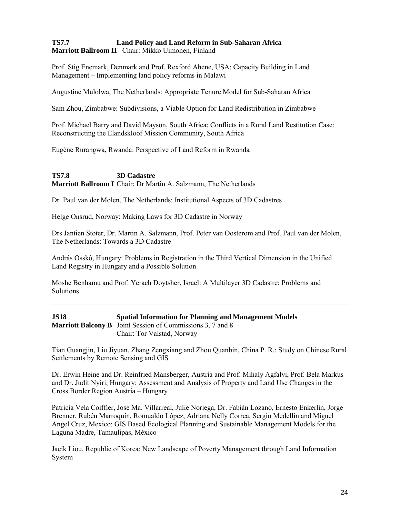## **TS7.7 Land Policy and Land Reform in Sub-Saharan Africa Marriott Ballroom II** Chair: Mikko Uimonen, Finland

Prof. Stig Enemark, Denmark and Prof. Rexford Ahene, USA: Capacity Building in Land Management – Implementing land policy reforms in Malawi

Augustine Mulolwa, The Netherlands: Appropriate Tenure Model for Sub-Saharan Africa

Sam Zhou, Zimbabwe: Subdivisions, a Viable Option for Land Redistribution in Zimbabwe

Prof. Michael Barry and David Mayson, South Africa: Conflicts in a Rural Land Restitution Case: Reconstructing the Elandskloof Mission Community, South Africa

Eugène Rurangwa, Rwanda: Perspective of Land Reform in Rwanda

## **TS7.8 3D Cadastre Marriott Ballroom I** Chair: Dr Martin A. Salzmann, The Netherlands

Dr. Paul van der Molen, The Netherlands: Institutional Aspects of 3D Cadastres

Helge Onsrud, Norway: Making Laws for 3D Cadastre in Norway

Drs Jantien Stoter, Dr. Martin A. Salzmann, Prof. Peter van Oosterom and Prof. Paul van der Molen, The Netherlands: Towards a 3D Cadastre

András Osskó, Hungary: Problems in Registration in the Third Vertical Dimension in the Unified Land Registry in Hungary and a Possible Solution

Moshe Benhamu and Prof. Yerach Doytsher, Israel: A Multilayer 3D Cadastre: Problems and Solutions

| <b>JS18</b> | <b>Spatial Information for Planning and Management Models</b>     |
|-------------|-------------------------------------------------------------------|
|             | <b>Marriott Balcony B</b> Joint Session of Commissions 3, 7 and 8 |
|             | Chair: Tor Valstad, Norway                                        |

Tian Guangjin, Liu Jiyuan, Zhang Zengxiang and Zhou Quanbin, China P. R.: Study on Chinese Rural Settlements by Remote Sensing and GIS

Dr. Erwin Heine and Dr. Reinfried Mansberger, Austria and Prof. Mihaly Agfalvi, Prof. Bela Markus and Dr. Judit Nyiri, Hungary: Assessment and Analysis of Property and Land Use Changes in the Cross Border Region Austria – Hungary

Patricia Vela Coiffier, José Ma. Villarreal, Julie Noriega, Dr. Fabián Lozano, Ernesto Enkerlin, Jorge Brenner, Rubén Marroquín, Romualdo López, Adriana Nelly Correa, Sergio Medellín and Miguel Angel Cruz, Mexico: GIS Based Ecological Planning and Sustainable Management Models for the Laguna Madre, Tamaulipas, México

Jaeik Liou, Republic of Korea: New Landscape of Poverty Management through Land Information System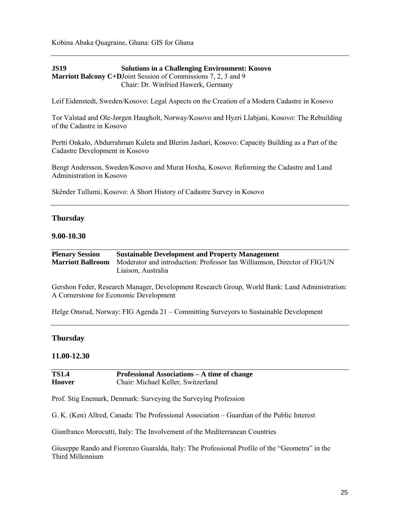Kobina Abaka Quagraine, Ghana: GIS for Ghana

**JS19 Solutions in a Challenging Environment: Kosovo Marriott Balcony C+D**Joint Session of Commissions 7, 2, 3 and 9 Chair: Dr. Winfried Hawerk, Germany

Leif Eidenstedt, Sweden/Kosovo: Legal Aspects on the Creation of a Modern Cadastre in Kosovo

Tor Valstad and Ole-Jørgen Haugholt, Norway/Kosovo and Hyzri Llabjani, Kosovo: The Rebuilding of the Cadastre in Kosovo

Pertti Onkalo, Abdurrahman Kuleta and Blerim Jashari, Kosovo: Capacity Building as a Part of the Cadastre Development in Kosovo

Bengt Andersson, Sweden/Kosovo and Murat Hoxha, Kosovo: Reforming the Cadastre and Land Administration in Kosovo

Skënder Tullumi, Kosovo: A Short History of Cadastre Survey in Kosovo

#### **Thursday**

#### **9.00-10.30**

**Plenary Session Sustainable Development and Property Management Marriott Ballroom** Moderator and introduction: Professor Ian Williamson, Director of FIG/UN Liaison, Australia

Gershon Feder, Research Manager, Development Research Group, World Bank: Land Administration: A Cornerstone for Economic Development

Helge Onsrud, Norway: FIG Agenda 21 – Committing Surveyors to Sustainable Development

#### **Thursday**

## **11.00-12.30**

| <b>TS1.4</b>  | Professional Associations – A time of change |
|---------------|----------------------------------------------|
| <b>Hoover</b> | Chair: Michael Keller, Switzerland           |

Prof. Stig Enemark, Denmark: Surveying the Surveying Profession

G. K. (Ken) Allred, Canada: The Professional Association – Guardian of the Public Interest

Gianfranco Morocutti, Italy: The Involvement of the Mediterranean Countries

Giuseppe Rando and Fiorenzo Guaralda, Italy: The Professional Profile of the "Geometra" in the Third Millennium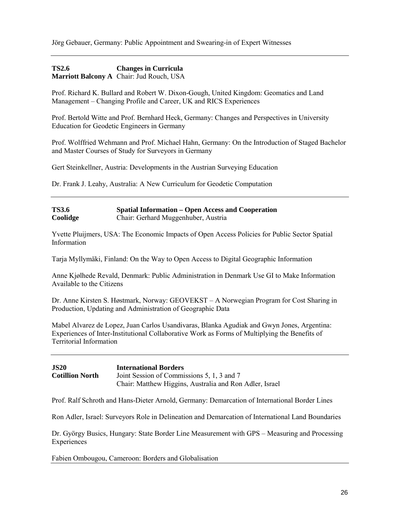Jörg Gebauer, Germany: Public Appointment and Swearing-in of Expert Witnesses

## **TS2.6 Changes in Curricula Marriott Balcony A** Chair: Jud Rouch, USA

Prof. Richard K. Bullard and Robert W. Dixon-Gough, United Kingdom: Geomatics and Land Management – Changing Profile and Career, UK and RICS Experiences

Prof. Bertold Witte and Prof. Bernhard Heck, Germany: Changes and Perspectives in University Education for Geodetic Engineers in Germany

Prof. Wolffried Wehmann and Prof. Michael Hahn, Germany: On the Introduction of Staged Bachelor and Master Courses of Study for Surveyors in Germany

Gert Steinkellner, Austria: Developments in the Austrian Surveying Education

Dr. Frank J. Leahy, Australia: A New Curriculum for Geodetic Computation

## **TS3.6 Spatial Information – Open Access and Cooperation Coolidge** Chair: Gerhard Muggenhuber, Austria

Yvette Pluijmers, USA: The Economic Impacts of Open Access Policies for Public Sector Spatial Information

Tarja Myllymäki, Finland: On the Way to Open Access to Digital Geographic Information

Anne Kjølhede Revald, Denmark: Public Administration in Denmark Use GI to Make Information Available to the Citizens

Dr. Anne Kirsten S. Høstmark, Norway: GEOVEKST – A Norwegian Program for Cost Sharing in Production, Updating and Administration of Geographic Data

Mabel Alvarez de Lopez, Juan Carlos Usandivaras, Blanka Agudiak and Gwyn Jones, Argentina: Experiences of Inter-Institutional Collaborative Work as Forms of Multiplying the Benefits of Territorial Information

**JS20 International Borders Cotillion North** Joint Session of Commissions 5, 1, 3 and 7 Chair: Matthew Higgins, Australia and Ron Adler, Israel

Prof. Ralf Schroth and Hans-Dieter Arnold, Germany: Demarcation of International Border Lines

Ron Adler, Israel: Surveyors Role in Delineation and Demarcation of International Land Boundaries

Dr. György Busics, Hungary: State Border Line Measurement with GPS – Measuring and Processing Experiences

Fabien Ombougou, Cameroon: Borders and Globalisation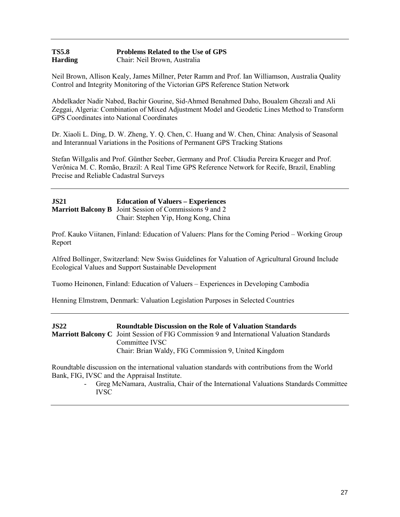#### **TS5.8 Problems Related to the Use of GPS Harding** Chair: Neil Brown, Australia

Neil Brown, Allison Kealy, James Millner, Peter Ramm and Prof. Ian Williamson, Australia Quality Control and Integrity Monitoring of the Victorian GPS Reference Station Network

Abdelkader Nadir Nabed, Bachir Gourine, Sid-Ahmed Benahmed Daho, Boualem Ghezali and Ali Zeggai, Algeria: Combination of Mixed Adjustment Model and Geodetic Lines Method to Transform GPS Coordinates into National Coordinates

Dr. Xiaoli L. Ding, D. W. Zheng, Y. Q. Chen, C. Huang and W. Chen, China: Analysis of Seasonal and Interannual Variations in the Positions of Permanent GPS Tracking Stations

Stefan Willgalis and Prof. Günther Seeber, Germany and Prof. Cláudia Pereira Krueger and Prof. Verônica M. C. Romão, Brazil: A Real Time GPS Reference Network for Recife, Brazil, Enabling Precise and Reliable Cadastral Surveys

| <b>JS21</b> | <b>Education of Valuers – Experiences</b>                      |
|-------------|----------------------------------------------------------------|
|             | <b>Marriott Balcony B</b> Joint Session of Commissions 9 and 2 |
|             | Chair: Stephen Yip, Hong Kong, China                           |

Prof. Kauko Viitanen, Finland: Education of Valuers: Plans for the Coming Period – Working Group Report

Alfred Bollinger, Switzerland: New Swiss Guidelines for Valuation of Agricultural Ground Include Ecological Values and Support Sustainable Development

Tuomo Heinonen, Finland: Education of Valuers – Experiences in Developing Cambodia

Henning Elmstrøm, Denmark: Valuation Legislation Purposes in Selected Countries

| <b>JS22</b> | <b>Roundtable Discussion on the Role of Valuation Standards</b>                                   |
|-------------|---------------------------------------------------------------------------------------------------|
|             | <b>Marriott Balcony C</b> Joint Session of FIG Commission 9 and International Valuation Standards |
|             | Committee IVSC                                                                                    |
|             | Chair: Brian Waldy, FIG Commission 9, United Kingdom                                              |

Roundtable discussion on the international valuation standards with contributions from the World Bank, FIG, IVSC and the Appraisal Institute.

> - Greg McNamara, Australia, Chair of the International Valuations Standards Committee IVSC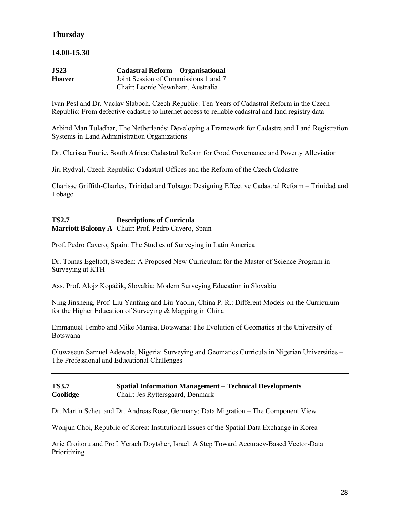# **Thursday**

## **14.00-15.30**

| <b>JS23</b> | <b>Cadastral Reform – Organisational</b> |
|-------------|------------------------------------------|
| Hoover      | Joint Session of Commissions 1 and 7     |
|             | Chair: Leonie Newnham, Australia         |

Ivan Pesl and Dr. Vaclav Slaboch, Czech Republic: Ten Years of Cadastral Reform in the Czech Republic: From defective cadastre to Internet access to reliable cadastral and land registry data

Arbind Man Tuladhar, The Netherlands: Developing a Framework for Cadastre and Land Registration Systems in Land Administration Organizations

Dr. Clarissa Fourie, South Africa: Cadastral Reform for Good Governance and Poverty Alleviation

Jiri Rydval, Czech Republic: Cadastral Offices and the Reform of the Czech Cadastre

Charisse Griffith-Charles, Trinidad and Tobago: Designing Effective Cadastral Reform – Trinidad and Tobago

**TS2.7 Descriptions of Curricula Marriott Balcony A** Chair: Prof. Pedro Cavero, Spain

Prof. Pedro Cavero, Spain: The Studies of Surveying in Latin America

Dr. Tomas Egeltoft, Sweden: A Proposed New Curriculum for the Master of Science Program in Surveying at KTH

Ass. Prof. Alojz Kopáčik, Slovakia: Modern Surveying Education in Slovakia

Ning Jinsheng, Prof. Liu Yanfang and Liu Yaolin, China P. R.: Different Models on the Curriculum for the Higher Education of Surveying & Mapping in China

Emmanuel Tembo and Mike Manisa, Botswana: The Evolution of Geomatics at the University of Botswana

Oluwaseun Samuel Adewale, Nigeria: Surveying and Geomatics Curricula in Nigerian Universities – The Professional and Educational Challenges

#### **TS3.7 Spatial Information Management – Technical Developments Coolidge** Chair: Jes Ryttersgaard, Denmark

Dr. Martin Scheu and Dr. Andreas Rose, Germany: Data Migration – The Component View

Wonjun Choi, Republic of Korea: Institutional Issues of the Spatial Data Exchange in Korea

Arie Croitoru and Prof. Yerach Doytsher, Israel: A Step Toward Accuracy-Based Vector-Data Prioritizing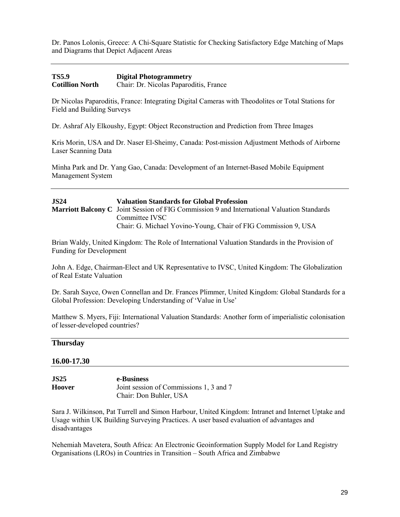Dr. Panos Lolonis, Greece: A Chi-Square Statistic for Checking Satisfactory Edge Matching of Maps and Diagrams that Depict Adjacent Areas

## **TS5.9 Digital Photogrammetry Cotillion North** Chair: Dr. Nicolas Paparoditis, France

Dr Nicolas Paparoditis, France: Integrating Digital Cameras with Theodolites or Total Stations for Field and Building Surveys

Dr. Ashraf Aly Elkoushy, Egypt: Object Reconstruction and Prediction from Three Images

Kris Morin, USA and Dr. Naser El-Sheimy, Canada: Post-mission Adjustment Methods of Airborne Laser Scanning Data

Minha Park and Dr. Yang Gao, Canada: Development of an Internet-Based Mobile Equipment Management System

## **JS24 Valuation Standards for Global Profession Marriott Balcony C** Joint Session of FIG Commission 9 and International Valuation Standards Committee IVSC

Chair: G. Michael Yovino-Young, Chair of FIG Commission 9, USA

Brian Waldy, United Kingdom: The Role of International Valuation Standards in the Provision of Funding for Development

John A. Edge, Chairman-Elect and UK Representative to IVSC, United Kingdom: The Globalization of Real Estate Valuation

Dr. Sarah Sayce, Owen Connellan and Dr. Frances Plimmer, United Kingdom: Global Standards for a Global Profession: Developing Understanding of 'Value in Use'

Matthew S. Myers, Fiji: International Valuation Standards: Another form of imperialistic colonisation of lesser-developed countries?

#### **Thursday**

#### **16.00-17.30**

**JS25 e-Business Hoover** Joint session of Commissions 1, 3 and 7 Chair: Don Buhler, USA

Sara J. Wilkinson, Pat Turrell and Simon Harbour, United Kingdom: Intranet and Internet Uptake and Usage within UK Building Surveying Practices. A user based evaluation of advantages and disadvantages

Nehemiah Mavetera, South Africa: An Electronic Geoinformation Supply Model for Land Registry Organisations (LROs) in Countries in Transition – South Africa and Zimbabwe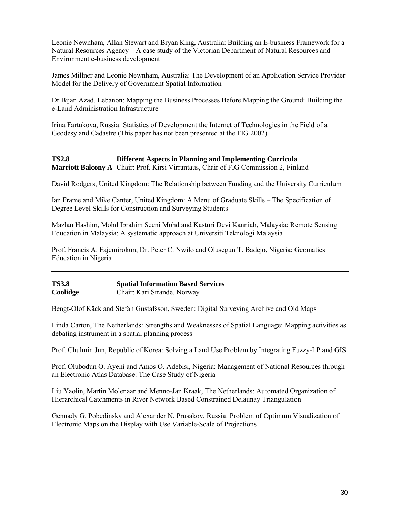Leonie Newnham, Allan Stewart and Bryan King, Australia: Building an E-business Framework for a Natural Resources Agency – A case study of the Victorian Department of Natural Resources and Environment e-business development

James Millner and Leonie Newnham, Australia: The Development of an Application Service Provider Model for the Delivery of Government Spatial Information

Dr Bijan Azad, Lebanon: Mapping the Business Processes Before Mapping the Ground: Building the e-Land Administration Infrastructure

Irina Fartukova, Russia: Statistics of Development the Internet of Technologies in the Field of a Geodesy and Cadastre (This paper has not been presented at the FIG 2002)

**TS2.8 Different Aspects in Planning and Implementing Curricula Marriott Balcony A** Chair: Prof. Kirsi Virrantaus, Chair of FIG Commission 2, Finland

David Rodgers, United Kingdom: The Relationship between Funding and the University Curriculum

Ian Frame and Mike Canter, United Kingdom: A Menu of Graduate Skills – The Specification of Degree Level Skills for Construction and Surveying Students

Mazlan Hashim, Mohd Ibrahim Seeni Mohd and Kasturi Devi Kanniah, Malaysia: Remote Sensing Education in Malaysia: A systematic approach at Universiti Teknologi Malaysia

Prof. Francis A. Fajemirokun, Dr. Peter C. Nwilo and Olusegun T. Badejo, Nigeria: Geomatics Education in Nigeria

**TS3.8 Spatial Information Based Services Coolidge** Chair: Kari Strande, Norway

Bengt-Olof Käck and Stefan Gustafsson, Sweden: Digital Surveying Archive and Old Maps

Linda Carton, The Netherlands: Strengths and Weaknesses of Spatial Language: Mapping activities as debating instrument in a spatial planning process

Prof. Chulmin Jun, Republic of Korea: Solving a Land Use Problem by Integrating Fuzzy-LP and GIS

Prof. Olubodun O. Ayeni and Amos O. Adebisi, Nigeria: Management of National Resources through an Electronic Atlas Database: The Case Study of Nigeria

Liu Yaolin, Martin Molenaar and Menno-Jan Kraak, The Netherlands: Automated Organization of Hierarchical Catchments in River Network Based Constrained Delaunay Triangulation

Gennady G. Pobedinsky and Alexander N. Prusakov, Russia: Problem of Optimum Visualization of Electronic Maps on the Display with Use Variable-Scale of Projections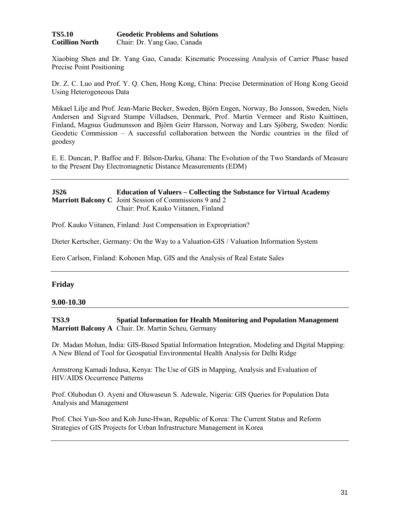| <b>TS5.10</b>          | <b>Geodetic Problems and Solutions</b> |
|------------------------|----------------------------------------|
| <b>Cotillion North</b> | Chair: Dr. Yang Gao, Canada            |

Xiaobing Shen and Dr. Yang Gao, Canada: Kinematic Processing Analysis of Carrier Phase based Precise Point Positioning

Dr. Z. C. Luo and Prof. Y. Q. Chen, Hong Kong, China: Precise Determination of Hong Kong Geoid Using Heterogeneous Data

Mikael Lilje and Prof. Jean-Marie Becker, Sweden, Björn Engen, Norway, Bo Jonsson, Sweden, Niels Andersen and Sigvard Stampe Villadsen, Denmark, Prof. Martin Vermeer and Risto Kuittinen, Finland, Magnus Gudmunsson and Björn Geirr Harsson, Norway and Lars Sjöberg, Sweden: Nordic Geodetic Commission – A successful collaboration between the Nordic countries in the filed of geodesy

E. E. Duncan, P. Baffoe and F. Bilson-Darku, Ghana: The Evolution of the Two Standards of Measure to the Present Day Electromagnetic Distance Measurements (EDM)

#### **JS26 Education of Valuers – Collecting the Substance for Virtual Academy Marriott Balcony C** Joint Session of Commissions 9 and 2 Chair: Prof. Kauko Viitanen, Finland

Prof. Kauko Viitanen, Finland: Just Compensation in Expropriation?

Dieter Kertscher, Germany: On the Way to a Valuation-GIS / Valuation Information System

Eero Carlson, Finland: Kohonen Map, GIS and the Analysis of Real Estate Sales

#### **Friday**

#### **9.00-10.30**

**TS3.9 Spatial Information for Health Monitoring and Population Management Marriott Balcony A** Chair. Dr. Martin Scheu, Germany

Dr. Madan Mohan, India: GIS-Based Spatial Information Integration, Modeling and Digital Mapping: A New Blend of Tool for Geospatial Environmental Health Analysis for Delhi Ridge

Armstrong Kamadi Indusa, Kenya: The Use of GIS in Mapping, Analysis and Evaluation of HIV/AIDS Occurrence Patterns

Prof. Olubodun O. Ayeni and Oluwaseun S. Adewale, Nigeria: GIS Queries for Population Data Analysis and Management

Prof. Choi Yun-Soo and Koh June-Hwan, Republic of Korea: The Current Status and Reform Strategies of GIS Projects for Urban Infrastructure Management in Korea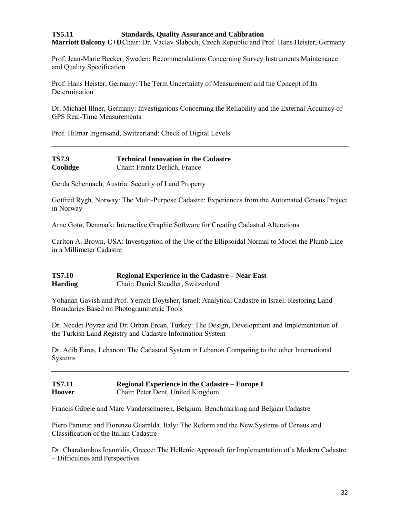## **TS5.11 Standards, Quality Assurance and Calibration Marriott Balcony C+D**Chair: Dr. Vaclav Slaboch, Czech Republic and Prof. Hans Heister, Germany

Prof. Jean-Marie Becker, Sweden: Recommendations Concerning Survey Instruments Maintenance and Quality Specification

Prof. Hans Heister, Germany: The Term Uncertainty of Measurement and the Concept of Its Determination

Dr. Michael Illner, Germany: Investigations Concerning the Reliability and the External Accuracy of GPS Real-Time Measurements

Prof. Hilmar Ingensand, Switzerland: Check of Digital Levels

| <b>TS7.9</b> | <b>Technical Innovation in the Cadastre</b> |
|--------------|---------------------------------------------|
| Coolidge     | Chair: Frantz Derlich, France               |

Gerda Schennach, Austria: Security of Land Property

Gotfred Rygh, Norway: The Multi-Purpose Cadastre: Experiences from the Automated Census Project in Norway

Arne Gøtø, Denmark: Interactive Graphic Software for Creating Cadastral Alterations

Carlton A. Brown, USA: Investigation of the Use of the Ellipsoidal Normal to Model the Plumb Line in a Millimeter Cadastre

| <b>TS7.10</b>  | <b>Regional Experience in the Cadastre – Near East</b> |
|----------------|--------------------------------------------------------|
| <b>Harding</b> | Chair: Daniel Steudler, Switzerland                    |

Yohanan Gavish and Prof. Yerach Doytsher, Israel: Analytical Cadastre in Israel: Restoring Land Boundaries Based on Photogrammetric Tools

Dr. Necdet Poyraz and Dr. Orhan Ercan, Turkey: The Design, Development and Implementation of the Turkish Land Registry and Cadastre Information System

Dr. Adib Fares, Lebanon: The Cadastral System in Lebanon Comparing to the other International Systems

#### **TS7.11 Regional Experience in the Cadastre – Europe I Hoover** Chair: Peter Dent, United Kingdom

Francis Gäbele and Marc Vanderschueren, Belgium: Benchmarking and Belgian Cadastre

Piero Panunzi and Fiorenzo Guaralda, Italy: The Reform and the New Systems of Census and Classification of the Italian Cadastre

Dr. Charalambos Ioannidis, Greece: The Hellenic Approach for Implementation of a Modern Cadastre – Difficulties and Perspectives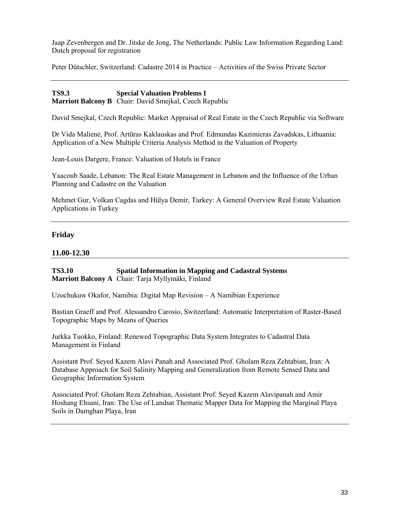Jaap Zevenbergen and Dr. Jitske de Jong, The Netherlands: Public Law Information Regarding Land: Dutch proposal for registration

Peter Dütschler, Switzerland: Cadastre 2014 in Practice – Activities of the Swiss Private Sector

**TS9.3 Special Valuation Problems I Marriott Balcony B** Chair: David Smejkal, Czech Republic

David Smejkal, Czech Republic: Market Appraisal of Real Estate in the Czech Republic via Software

Dr Vida Malienė, Prof. Artūras Kaklauskas and Prof. Edmundas Kazimieras Zavadskas, Lithuania: Application of a New Multiple Criteria Analysis Method in the Valuation of Property

Jean-Louis Dargere, France: Valuation of Hotels in France

Yaacoub Saade, Lebanon: The Real Estate Management in Lebanon and the Influence of the Urban Planning and Cadastre on the Valuation

Mehmet Gur, Volkan Cagdas and Hülya Demir, Turkey: A General Overview Real Estate Valuation Applications in Turkey

#### **Friday**

#### **11.00-12.30**

**TS3.10 Spatial Information in Mapping and Cadastral Systems Marriott Balcony A** Chair: Tarja Myllymäki, Finland

Uzochukuw Okafor, Namibia: Digital Map Revision – A Namibian Experience

Bastian Graeff and Prof. Alessandro Carosio, Switzerland: Automatic Interpretation of Raster-Based Topographic Maps by Means of Queries

Jurkka Tuokko, Finland: Renewed Topographic Data System Integrates to Cadastral Data Management in Finland

Assistant Prof. Seyed Kazem Alavi Panah and Associated Prof. Gholam Reza Zehtabian, Iran: A Database Approach for Soil Salinity Mapping and Generalization from Remote Sensed Data and Geographic Information System

Associated Prof. Gholam Reza Zehtabian, Assistant Prof. Seyed Kazem Alavipanah and Amir Hoshang Ehsani, Iran: The Use of Landsat Thematic Mapper Data for Mapping the Marginal Playa Soils in Damghan Playa, Iran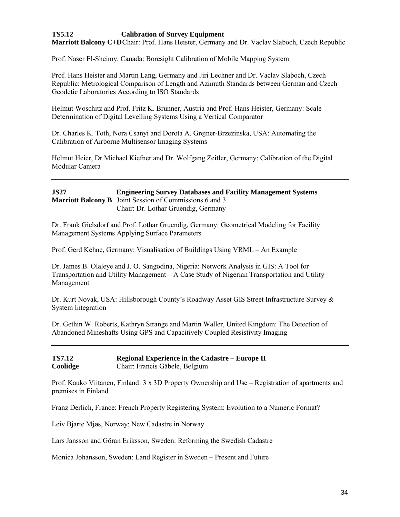# **TS5.12 Calibration of Survey Equipment**

**Marriott Balcony C+D**Chair: Prof. Hans Heister, Germany and Dr. Vaclav Slaboch, Czech Republic

Prof. Naser El-Sheimy, Canada: Boresight Calibration of Mobile Mapping System

Prof. Hans Heister and Martin Lang, Germany and Jiri Lechner and Dr. Vaclav Slaboch, Czech Republic: Metrological Comparison of Length and Azimuth Standards between German and Czech Geodetic Laboratories According to ISO Standards

Helmut Woschitz and Prof. Fritz K. Brunner, Austria and Prof. Hans Heister, Germany: Scale Determination of Digital Levelling Systems Using a Vertical Comparator

Dr. Charles K. Toth, Nora Csanyi and Dorota A. Grejner-Brzezinska, USA: Automating the Calibration of Airborne Multisensor Imaging Systems

Helmut Heier, Dr Michael Kiefner and Dr. Wolfgang Zeitler, Germany: Calibration of the Digital Modular Camera

#### **JS27 Engineering Survey Databases and Facility Management Systems Marriott Balcony B** Joint Session of Commissions 6 and 3 Chair: Dr. Lothar Gruendig, Germany

Dr. Frank Gielsdorf and Prof. Lothar Gruendig, Germany: Geometrical Modeling for Facility Management Systems Applying Surface Parameters

Prof. Gerd Kehne, Germany: Visualisation of Buildings Using VRML – An Example

Dr. James B. Olaleye and J. O. Sangodina, Nigeria: Network Analysis in GIS: A Tool for Transportation and Utility Management – A Case Study of Nigerian Transportation and Utility Management

Dr. Kurt Novak, USA: Hillsborough County's Roadway Asset GIS Street Infrastructure Survey & System Integration

Dr. Gethin W. Roberts, Kathryn Strange and Martin Waller, United Kingdom: The Detection of Abandoned Mineshafts Using GPS and Capacitively Coupled Resistivity Imaging

**TS7.12 Regional Experience in the Cadastre – Europe II Coolidge** Chair: Francis Gäbele, Belgium

Prof. Kauko Viitanen, Finland: 3 x 3D Property Ownership and Use – Registration of apartments and premises in Finland

Franz Derlich, France: French Property Registering System: Evolution to a Numeric Format?

Leiv Bjarte Mjøs, Norway: New Cadastre in Norway

Lars Jansson and Göran Eriksson, Sweden: Reforming the Swedish Cadastre

Monica Johansson, Sweden: Land Register in Sweden – Present and Future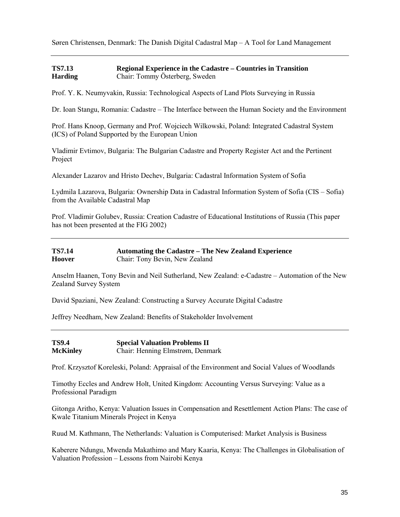Søren Christensen, Denmark: The Danish Digital Cadastral Map – A Tool for Land Management

## **TS7.13 Regional Experience in the Cadastre – Countries in Transition Harding** Chair: Tommy Österberg, Sweden

Prof. Y. K. Neumyvakin, Russia: Technological Aspects of Land Plots Surveying in Russia

Dr. Ioan Stangu, Romania: Cadastre – The Interface between the Human Society and the Environment

Prof. Hans Knoop, Germany and Prof. Wojciech Wilkowski, Poland: Integrated Cadastral System (ICS) of Poland Supported by the European Union

Vladimir Evtimov, Bulgaria: The Bulgarian Cadastre and Property Register Act and the Pertinent Project

Alexander Lazarov and Hristo Dechev, Bulgaria: Cadastral Information System of Sofia

Lydmila Lazarova, Bulgaria: Ownership Data in Cadastral Information System of Sofia (CIS – Sofia) from the Available Cadastral Map

Prof. Vladimir Golubev, Russia: Creation Cadastre of Educational Institutions of Russia (This paper has not been presented at the FIG 2002)

| <b>TS7.14</b> | <b>Automating the Cadastre – The New Zealand Experience</b> |
|---------------|-------------------------------------------------------------|
| <b>Hoover</b> | Chair: Tony Bevin, New Zealand                              |

Anselm Haanen, Tony Bevin and Neil Sutherland, New Zealand: e-Cadastre – Automation of the New Zealand Survey System

David Spaziani, New Zealand: Constructing a Survey Accurate Digital Cadastre

Jeffrey Needham, New Zealand: Benefits of Stakeholder Involvement

**TS9.4 Special Valuation Problems II McKinley** Chair: Henning Elmstrøm, Denmark

Prof. Krzysztof Koreleski, Poland: Appraisal of the Environment and Social Values of Woodlands

Timothy Eccles and Andrew Holt, United Kingdom: Accounting Versus Surveying: Value as a Professional Paradigm

Gitonga Aritho, Kenya: Valuation Issues in Compensation and Resettlement Action Plans: The case of Kwale Titanium Minerals Project in Kenya

Ruud M. Kathmann, The Netherlands: Valuation is Computerised: Market Analysis is Business

Kaberere Ndungu, Mwenda Makathimo and Mary Kaaria, Kenya: The Challenges in Globalisation of Valuation Profession – Lessons from Nairobi Kenya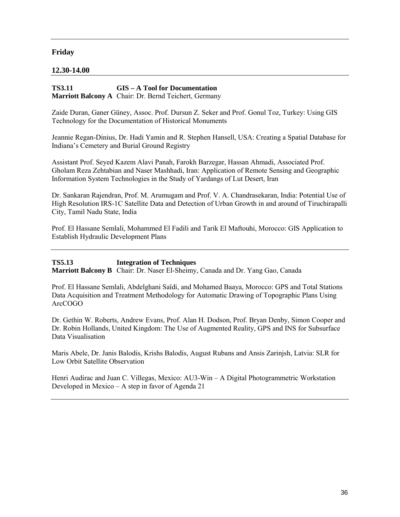## **Friday**

## **12.30-14.00**

#### **TS3.11 GIS – A Tool for Documentation Marriott Balcony A** Chair: Dr. Bernd Teichert, Germany

Zaide Duran, Ganer Güney, Assoc. Prof. Dursun Z. Seker and Prof. Gonul Toz, Turkey: Using GIS Technology for the Documentation of Historical Monuments

Jeannie Regan-Dinius, Dr. Hadi Yamin and R. Stephen Hansell, USA: Creating a Spatial Database for Indiana's Cemetery and Burial Ground Registry

Assistant Prof. Seyed Kazem Alavi Panah, Farokh Barzegar, Hassan Ahmadi, Associated Prof. Gholam Reza Zehtabian and Naser Mashhadi, Iran: Application of Remote Sensing and Geographic Information System Technologies in the Study of Yardangs of Lut Desert, Iran

Dr. Sankaran Rajendran, Prof. M. Arumugam and Prof. V. A. Chandrasekaran, India: Potential Use of High Resolution IRS-1C Satellite Data and Detection of Urban Growth in and around of Tiruchirapalli City, Tamil Nadu State, India

Prof. El Hassane Semlali, Mohammed El Fadili and Tarik El Maftouhi, Morocco: GIS Application to Establish Hydraulic Development Plans

**TS5.13 Integration of Techniques Marriott Balcony B** Chair: Dr. Naser El-Sheimy, Canada and Dr. Yang Gao, Canada

Prof. El Hassane Semlali, Abdelghani Saïdi, and Mohamed Baaya, Morocco: GPS and Total Stations Data Acquisition and Treatment Methodology for Automatic Drawing of Topographic Plans Using ArcCOGO

Dr. Gethin W. Roberts, Andrew Evans, Prof. Alan H. Dodson, Prof. Bryan Denby, Simon Cooper and Dr. Robin Hollands, United Kingdom: The Use of Augmented Reality, GPS and INS for Subsurface Data Visualisation

Maris Abele, Dr. Janis Balodis, Krishs Balodis, August Rubans and Ansis Zarinjsh, Latvia: SLR for Low Orbit Satellite Observation

Henri Audirac and Juan C. Villegas, Mexico: AU3-Win – A Digital Photogrammetric Workstation Developed in Mexico – A step in favor of Agenda 21